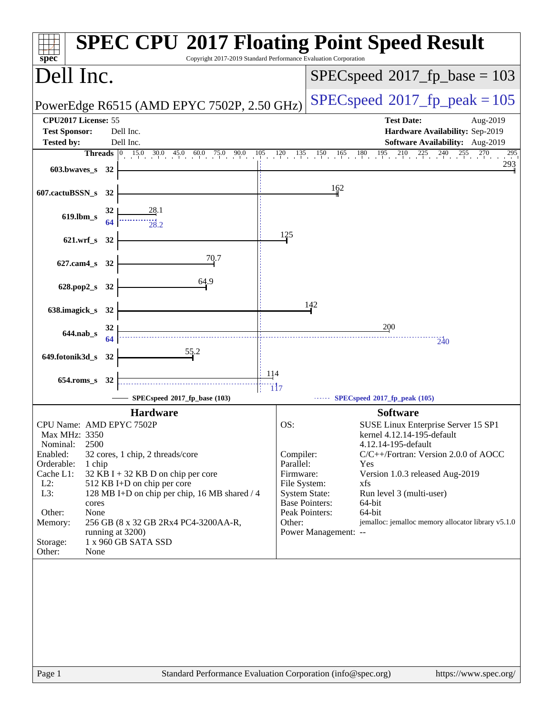| spec <sup>®</sup>                           |               |          | <b>SPEC CPU®2017 Floating Point Speed Result</b><br>Copyright 2017-2019 Standard Performance Evaluation Corporation |                           |                                          |                                                                                                     |  |
|---------------------------------------------|---------------|----------|---------------------------------------------------------------------------------------------------------------------|---------------------------|------------------------------------------|-----------------------------------------------------------------------------------------------------|--|
| Dell Inc.                                   |               |          |                                                                                                                     |                           | $SPEC speed^{\circ}2017\_fp\_base = 103$ |                                                                                                     |  |
|                                             |               |          | PowerEdge R6515 (AMD EPYC 7502P, 2.50 GHz)                                                                          |                           |                                          | $SPEC speed^{\circ}2017$ _fp_peak = 105                                                             |  |
| CPU2017 License: 55<br><b>Test Sponsor:</b> |               |          | Dell Inc.<br>Dell Inc.                                                                                              |                           |                                          | <b>Test Date:</b><br>Aug-2019<br>Hardware Availability: Sep-2019<br>Software Availability: Aug-2019 |  |
| <b>Tested by:</b>                           |               |          | <b>Threads</b> 0 15.0 30.0 45.0 60.0 75.0 90.0 105 120 135 150 165 180 195 210 225 240 255 270                      |                           |                                          | 295                                                                                                 |  |
| 603.bwaves_s 32                             |               |          |                                                                                                                     |                           |                                          | 293                                                                                                 |  |
| 607.cactuBSSN_s 32                          |               |          |                                                                                                                     |                           | 162                                      |                                                                                                     |  |
| 619.lbm_s                                   |               | 32<br>64 | 28.1                                                                                                                |                           |                                          |                                                                                                     |  |
| 621.wrf_s 32                                |               |          |                                                                                                                     | 125                       |                                          |                                                                                                     |  |
| 627.cam4_s 32                               |               |          | 70.7                                                                                                                |                           |                                          |                                                                                                     |  |
| 628.pop2_s 32                               |               |          | 64.9                                                                                                                |                           |                                          |                                                                                                     |  |
| 638.imagick_s                               |               | 32       |                                                                                                                     |                           | 142                                      |                                                                                                     |  |
| 644.nab_s                                   |               | 32       |                                                                                                                     |                           |                                          | 200                                                                                                 |  |
|                                             |               | 64       | 55.2                                                                                                                |                           |                                          | 240                                                                                                 |  |
| 649.fotonik3d_s                             |               | 32       |                                                                                                                     |                           |                                          |                                                                                                     |  |
| $654$ .roms s                               |               | 32       |                                                                                                                     | <u>114</u>                |                                          |                                                                                                     |  |
|                                             |               |          | SPECspeed®2017_fp_base (103)                                                                                        | <u>"ii7</u>               |                                          | $\cdots$ SPECspeed <sup>®</sup> 2017_fp_peak (105)                                                  |  |
|                                             |               |          | <b>Hardware</b>                                                                                                     |                           |                                          | <b>Software</b>                                                                                     |  |
| CPU Name: AMD EPYC 7502P                    |               |          |                                                                                                                     | OS:                       |                                          | SUSE Linux Enterprise Server 15 SP1                                                                 |  |
| Max MHz: 3350<br>Nominal:                   | 2500          |          |                                                                                                                     |                           |                                          | kernel 4.12.14-195-default<br>4.12.14-195-default                                                   |  |
| Enabled:                                    |               |          | 32 cores, 1 chip, 2 threads/core                                                                                    | Compiler:                 |                                          | C/C++/Fortran: Version 2.0.0 of AOCC                                                                |  |
| Orderable:                                  | 1 chip        |          |                                                                                                                     | Parallel:                 |                                          | Yes                                                                                                 |  |
| Cache L1:<br>$L2$ :                         |               |          | $32$ KB I + 32 KB D on chip per core<br>512 KB I+D on chip per core                                                 | Firmware:<br>File System: |                                          | Version 1.0.3 released Aug-2019<br>xfs                                                              |  |
| L3:                                         |               |          | 128 MB I+D on chip per chip, 16 MB shared / 4                                                                       | <b>System State:</b>      |                                          | Run level 3 (multi-user)                                                                            |  |
| Other:                                      | cores<br>None |          |                                                                                                                     |                           | <b>Base Pointers:</b><br>Peak Pointers:  | $64$ -bit<br>64-bit                                                                                 |  |
| Memory:                                     |               |          | 256 GB (8 x 32 GB 2Rx4 PC4-3200AA-R,                                                                                | Other:                    |                                          | jemalloc: jemalloc memory allocator library v5.1.0                                                  |  |
|                                             |               |          | running at 3200)                                                                                                    |                           | Power Management: --                     |                                                                                                     |  |
| Storage:<br>Other:                          | None          |          | 1 x 960 GB SATA SSD                                                                                                 |                           |                                          |                                                                                                     |  |
|                                             |               |          |                                                                                                                     |                           |                                          |                                                                                                     |  |
|                                             |               |          |                                                                                                                     |                           |                                          |                                                                                                     |  |
|                                             |               |          |                                                                                                                     |                           |                                          |                                                                                                     |  |
|                                             |               |          |                                                                                                                     |                           |                                          |                                                                                                     |  |
|                                             |               |          |                                                                                                                     |                           |                                          |                                                                                                     |  |
|                                             |               |          |                                                                                                                     |                           |                                          |                                                                                                     |  |
|                                             |               |          |                                                                                                                     |                           |                                          |                                                                                                     |  |
|                                             |               |          |                                                                                                                     |                           |                                          |                                                                                                     |  |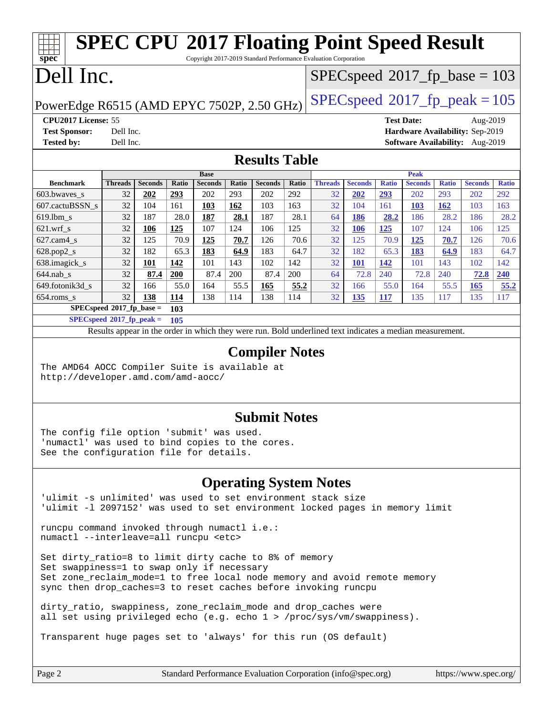### **[spec](http://www.spec.org/) [SPEC CPU](http://www.spec.org/auto/cpu2017/Docs/result-fields.html#SPECCPU2017FloatingPointSpeedResult)[2017 Floating Point Speed Result](http://www.spec.org/auto/cpu2017/Docs/result-fields.html#SPECCPU2017FloatingPointSpeedResult)** Copyright 2017-2019 Standard Performance Evaluation Corporation Dell Inc. PowerEdge R6515 (AMD EPYC 7502P, 2.50 GHz)  $\left|$  [SPECspeed](http://www.spec.org/auto/cpu2017/Docs/result-fields.html#SPECspeed2017fppeak)<sup>®</sup>[2017\\_fp\\_peak = 1](http://www.spec.org/auto/cpu2017/Docs/result-fields.html#SPECspeed2017fppeak)05 [SPECspeed](http://www.spec.org/auto/cpu2017/Docs/result-fields.html#SPECspeed2017fpbase)<sup>®</sup>2017 fp base = 103 **[CPU2017 License:](http://www.spec.org/auto/cpu2017/Docs/result-fields.html#CPU2017License)** 55 **[Test Date:](http://www.spec.org/auto/cpu2017/Docs/result-fields.html#TestDate)** Aug-2019 **[Test Sponsor:](http://www.spec.org/auto/cpu2017/Docs/result-fields.html#TestSponsor)** Dell Inc. **[Hardware Availability:](http://www.spec.org/auto/cpu2017/Docs/result-fields.html#HardwareAvailability)** Sep-2019 **[Tested by:](http://www.spec.org/auto/cpu2017/Docs/result-fields.html#Testedby)** Dell Inc. **[Software Availability:](http://www.spec.org/auto/cpu2017/Docs/result-fields.html#SoftwareAvailability)** Aug-2019 **[Results Table](http://www.spec.org/auto/cpu2017/Docs/result-fields.html#ResultsTable) [Benchmark](http://www.spec.org/auto/cpu2017/Docs/result-fields.html#Benchmark) [Threads](http://www.spec.org/auto/cpu2017/Docs/result-fields.html#Threads) [Seconds](http://www.spec.org/auto/cpu2017/Docs/result-fields.html#Seconds) [Ratio](http://www.spec.org/auto/cpu2017/Docs/result-fields.html#Ratio) [Seconds](http://www.spec.org/auto/cpu2017/Docs/result-fields.html#Seconds) [Ratio](http://www.spec.org/auto/cpu2017/Docs/result-fields.html#Ratio) [Seconds](http://www.spec.org/auto/cpu2017/Docs/result-fields.html#Seconds) [Ratio](http://www.spec.org/auto/cpu2017/Docs/result-fields.html#Ratio) Base [Threads](http://www.spec.org/auto/cpu2017/Docs/result-fields.html#Threads) [Seconds](http://www.spec.org/auto/cpu2017/Docs/result-fields.html#Seconds) [Ratio](http://www.spec.org/auto/cpu2017/Docs/result-fields.html#Ratio) [Seconds](http://www.spec.org/auto/cpu2017/Docs/result-fields.html#Seconds) [Ratio](http://www.spec.org/auto/cpu2017/Docs/result-fields.html#Ratio) [Seconds](http://www.spec.org/auto/cpu2017/Docs/result-fields.html#Seconds) [Ratio](http://www.spec.org/auto/cpu2017/Docs/result-fields.html#Ratio) Peak** [603.bwaves\\_s](http://www.spec.org/auto/cpu2017/Docs/benchmarks/603.bwaves_s.html) 32 **[202](http://www.spec.org/auto/cpu2017/Docs/result-fields.html#Median) [293](http://www.spec.org/auto/cpu2017/Docs/result-fields.html#Median)** 202 293 202 292 32 **[202](http://www.spec.org/auto/cpu2017/Docs/result-fields.html#Median) [293](http://www.spec.org/auto/cpu2017/Docs/result-fields.html#Median)** 202 293 202 292 [607.cactuBSSN\\_s](http://www.spec.org/auto/cpu2017/Docs/benchmarks/607.cactuBSSN_s.html) 32 104 161 **[103](http://www.spec.org/auto/cpu2017/Docs/result-fields.html#Median) [162](http://www.spec.org/auto/cpu2017/Docs/result-fields.html#Median)** 103 163 32 104 161 **[103](http://www.spec.org/auto/cpu2017/Docs/result-fields.html#Median) [162](http://www.spec.org/auto/cpu2017/Docs/result-fields.html#Median)** 103 163 [619.lbm\\_s](http://www.spec.org/auto/cpu2017/Docs/benchmarks/619.lbm_s.html) 32 187 28.0 **[187](http://www.spec.org/auto/cpu2017/Docs/result-fields.html#Median) [28.1](http://www.spec.org/auto/cpu2017/Docs/result-fields.html#Median)** 187 28.1 64 **[186](http://www.spec.org/auto/cpu2017/Docs/result-fields.html#Median) [28.2](http://www.spec.org/auto/cpu2017/Docs/result-fields.html#Median)** 186 28.2 186 28.2 [621.wrf\\_s](http://www.spec.org/auto/cpu2017/Docs/benchmarks/621.wrf_s.html) 32 **[106](http://www.spec.org/auto/cpu2017/Docs/result-fields.html#Median) [125](http://www.spec.org/auto/cpu2017/Docs/result-fields.html#Median)** 107 124 106 125 32 **[106](http://www.spec.org/auto/cpu2017/Docs/result-fields.html#Median) [125](http://www.spec.org/auto/cpu2017/Docs/result-fields.html#Median)** 107 124 106 125 [627.cam4\\_s](http://www.spec.org/auto/cpu2017/Docs/benchmarks/627.cam4_s.html) 32 125 70.9 **[125](http://www.spec.org/auto/cpu2017/Docs/result-fields.html#Median) [70.7](http://www.spec.org/auto/cpu2017/Docs/result-fields.html#Median)** 126 70.6 32 125 70.9 **[125](http://www.spec.org/auto/cpu2017/Docs/result-fields.html#Median) [70.7](http://www.spec.org/auto/cpu2017/Docs/result-fields.html#Median)** 126 70.6 [628.pop2\\_s](http://www.spec.org/auto/cpu2017/Docs/benchmarks/628.pop2_s.html) 32 182 65.3 **[183](http://www.spec.org/auto/cpu2017/Docs/result-fields.html#Median) [64.9](http://www.spec.org/auto/cpu2017/Docs/result-fields.html#Median)** 183 64.7 32 182 65.3 **[183](http://www.spec.org/auto/cpu2017/Docs/result-fields.html#Median) [64.9](http://www.spec.org/auto/cpu2017/Docs/result-fields.html#Median)** 183 64.7 [638.imagick\\_s](http://www.spec.org/auto/cpu2017/Docs/benchmarks/638.imagick_s.html) 32 **[101](http://www.spec.org/auto/cpu2017/Docs/result-fields.html#Median) [142](http://www.spec.org/auto/cpu2017/Docs/result-fields.html#Median)** 101 143 102 142 32 **[101](http://www.spec.org/auto/cpu2017/Docs/result-fields.html#Median) [142](http://www.spec.org/auto/cpu2017/Docs/result-fields.html#Median)** 101 143 102 142 [644.nab\\_s](http://www.spec.org/auto/cpu2017/Docs/benchmarks/644.nab_s.html) 32 **[87.4](http://www.spec.org/auto/cpu2017/Docs/result-fields.html#Median) [200](http://www.spec.org/auto/cpu2017/Docs/result-fields.html#Median)** 87.4 200 87.4 200 64 72.8 240 72.8 240 **[72.8](http://www.spec.org/auto/cpu2017/Docs/result-fields.html#Median) [240](http://www.spec.org/auto/cpu2017/Docs/result-fields.html#Median)** [649.fotonik3d\\_s](http://www.spec.org/auto/cpu2017/Docs/benchmarks/649.fotonik3d_s.html) 32 166 55.0 164 55.5 **[165](http://www.spec.org/auto/cpu2017/Docs/result-fields.html#Median) [55.2](http://www.spec.org/auto/cpu2017/Docs/result-fields.html#Median)** 32 166 55.0 164 55.5 **[165](http://www.spec.org/auto/cpu2017/Docs/result-fields.html#Median) [55.2](http://www.spec.org/auto/cpu2017/Docs/result-fields.html#Median)** [654.roms\\_s](http://www.spec.org/auto/cpu2017/Docs/benchmarks/654.roms_s.html) 32 **[138](http://www.spec.org/auto/cpu2017/Docs/result-fields.html#Median) [114](http://www.spec.org/auto/cpu2017/Docs/result-fields.html#Median)** 138 114 138 114 32 **[135](http://www.spec.org/auto/cpu2017/Docs/result-fields.html#Median) [117](http://www.spec.org/auto/cpu2017/Docs/result-fields.html#Median)** 135 117 135 117 **[SPECspeed](http://www.spec.org/auto/cpu2017/Docs/result-fields.html#SPECspeed2017fpbase)[2017\\_fp\\_base =](http://www.spec.org/auto/cpu2017/Docs/result-fields.html#SPECspeed2017fpbase) 103 [SPECspeed](http://www.spec.org/auto/cpu2017/Docs/result-fields.html#SPECspeed2017fppeak)[2017\\_fp\\_peak =](http://www.spec.org/auto/cpu2017/Docs/result-fields.html#SPECspeed2017fppeak) 105** Results appear in the [order in which they were run.](http://www.spec.org/auto/cpu2017/Docs/result-fields.html#RunOrder) Bold underlined text [indicates a median measurement](http://www.spec.org/auto/cpu2017/Docs/result-fields.html#Median). **[Compiler Notes](http://www.spec.org/auto/cpu2017/Docs/result-fields.html#CompilerNotes)** The AMD64 AOCC Compiler Suite is available at <http://developer.amd.com/amd-aocc/> **[Submit Notes](http://www.spec.org/auto/cpu2017/Docs/result-fields.html#SubmitNotes)** The config file option 'submit' was used. 'numactl' was used to bind copies to the cores.

### **[Operating System Notes](http://www.spec.org/auto/cpu2017/Docs/result-fields.html#OperatingSystemNotes)**

'ulimit -s unlimited' was used to set environment stack size 'ulimit -l 2097152' was used to set environment locked pages in memory limit

runcpu command invoked through numactl i.e.: numactl --interleave=all runcpu <etc>

See the configuration file for details.

Set dirty\_ratio=8 to limit dirty cache to 8% of memory Set swappiness=1 to swap only if necessary Set zone\_reclaim\_mode=1 to free local node memory and avoid remote memory sync then drop\_caches=3 to reset caches before invoking runcpu

dirty ratio, swappiness, zone reclaim mode and drop caches were all set using privileged echo (e.g. echo 1 > /proc/sys/vm/swappiness).

Transparent huge pages set to 'always' for this run (OS default)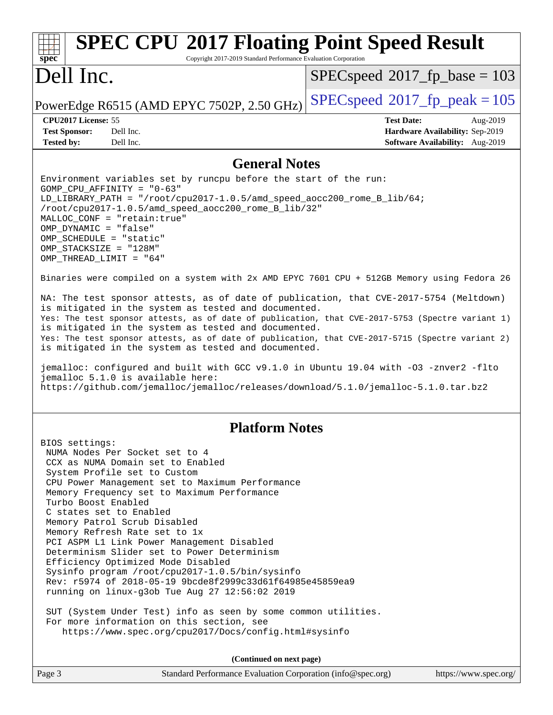### **[spec](http://www.spec.org/) [SPEC CPU](http://www.spec.org/auto/cpu2017/Docs/result-fields.html#SPECCPU2017FloatingPointSpeedResult)[2017 Floating Point Speed Result](http://www.spec.org/auto/cpu2017/Docs/result-fields.html#SPECCPU2017FloatingPointSpeedResult)** Copyright 2017-2019 Standard Performance Evaluation Corporation Dell Inc. PowerEdge R6515 (AMD EPYC 7502P, 2.50 GHz)  $\left|$  [SPECspeed](http://www.spec.org/auto/cpu2017/Docs/result-fields.html#SPECspeed2017fppeak)<sup>®</sup>[2017\\_fp\\_peak = 1](http://www.spec.org/auto/cpu2017/Docs/result-fields.html#SPECspeed2017fppeak)05 [SPECspeed](http://www.spec.org/auto/cpu2017/Docs/result-fields.html#SPECspeed2017fpbase)<sup>®</sup>2017 fp base = 103 **[CPU2017 License:](http://www.spec.org/auto/cpu2017/Docs/result-fields.html#CPU2017License)** 55 **[Test Date:](http://www.spec.org/auto/cpu2017/Docs/result-fields.html#TestDate)** Aug-2019 **[Test Sponsor:](http://www.spec.org/auto/cpu2017/Docs/result-fields.html#TestSponsor)** Dell Inc. **[Hardware Availability:](http://www.spec.org/auto/cpu2017/Docs/result-fields.html#HardwareAvailability)** Sep-2019 **[Tested by:](http://www.spec.org/auto/cpu2017/Docs/result-fields.html#Testedby)** Dell Inc. **[Software Availability:](http://www.spec.org/auto/cpu2017/Docs/result-fields.html#SoftwareAvailability)** Aug-2019 **[General Notes](http://www.spec.org/auto/cpu2017/Docs/result-fields.html#GeneralNotes)** Environment variables set by runcpu before the start of the run: GOMP\_CPU\_AFFINITY = "0-63" LD\_LIBRARY\_PATH = "/root/cpu2017-1.0.5/amd\_speed\_aocc200\_rome\_B\_lib/64; /root/cpu2017-1.0.5/amd\_speed\_aocc200\_rome\_B\_lib/32" MALLOC\_CONF = "retain:true" OMP\_DYNAMIC = "false" OMP\_SCHEDULE = "static" OMP\_STACKSIZE = "128M" OMP\_THREAD\_LIMIT = "64" Binaries were compiled on a system with 2x AMD EPYC 7601 CPU + 512GB Memory using Fedora 26 NA: The test sponsor attests, as of date of publication, that CVE-2017-5754 (Meltdown) is mitigated in the system as tested and documented. Yes: The test sponsor attests, as of date of publication, that CVE-2017-5753 (Spectre variant 1) is mitigated in the system as tested and documented. Yes: The test sponsor attests, as of date of publication, that CVE-2017-5715 (Spectre variant 2) is mitigated in the system as tested and documented. jemalloc: configured and built with GCC v9.1.0 in Ubuntu 19.04 with -O3 -znver2 -flto jemalloc 5.1.0 is available here: <https://github.com/jemalloc/jemalloc/releases/download/5.1.0/jemalloc-5.1.0.tar.bz2> **[Platform Notes](http://www.spec.org/auto/cpu2017/Docs/result-fields.html#PlatformNotes)** BIOS settings: NUMA Nodes Per Socket set to 4 CCX as NUMA Domain set to Enabled System Profile set to Custom CPU Power Management set to Maximum Performance Memory Frequency set to Maximum Performance Turbo Boost Enabled C states set to Enabled Memory Patrol Scrub Disabled Memory Refresh Rate set to 1x PCI ASPM L1 Link Power Management Disabled Determinism Slider set to Power Determinism Efficiency Optimized Mode Disabled Sysinfo program /root/cpu2017-1.0.5/bin/sysinfo Rev: r5974 of 2018-05-19 9bcde8f2999c33d61f64985e45859ea9 running on linux-g3ob Tue Aug 27 12:56:02 2019 SUT (System Under Test) info as seen by some common utilities. For more information on this section, see <https://www.spec.org/cpu2017/Docs/config.html#sysinfo> **(Continued on next page)**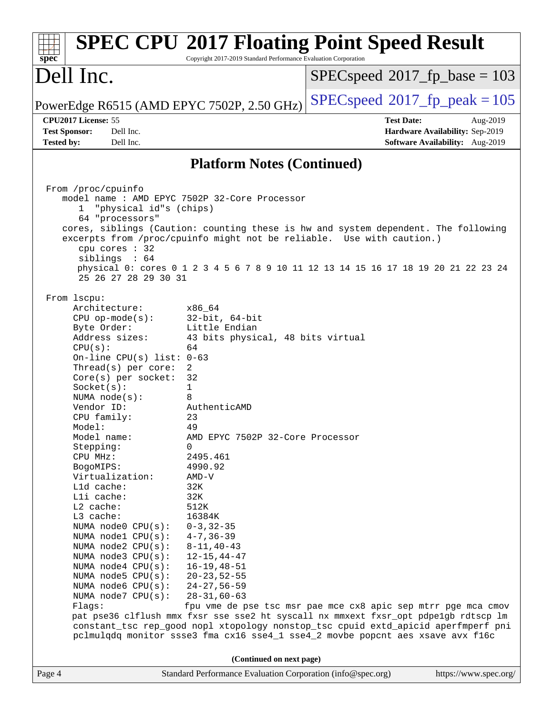| spec <sup>®</sup>                                                                                                                                                                                                                                                                                                                                                                                                                                                                                                                                                                          | <b>SPEC CPU®2017 Floating Point Speed Result</b><br>Copyright 2017-2019 Standard Performance Evaluation Corporation                                                                                                                                                                                                                                                                                                                                                                                                                                                                                                                                                                                                                                             |                   |                                                                                |
|--------------------------------------------------------------------------------------------------------------------------------------------------------------------------------------------------------------------------------------------------------------------------------------------------------------------------------------------------------------------------------------------------------------------------------------------------------------------------------------------------------------------------------------------------------------------------------------------|-----------------------------------------------------------------------------------------------------------------------------------------------------------------------------------------------------------------------------------------------------------------------------------------------------------------------------------------------------------------------------------------------------------------------------------------------------------------------------------------------------------------------------------------------------------------------------------------------------------------------------------------------------------------------------------------------------------------------------------------------------------------|-------------------|--------------------------------------------------------------------------------|
| Dell Inc.                                                                                                                                                                                                                                                                                                                                                                                                                                                                                                                                                                                  |                                                                                                                                                                                                                                                                                                                                                                                                                                                                                                                                                                                                                                                                                                                                                                 |                   | $SPEC speed^{\circ}2017\_fp\_base = 103$                                       |
| PowerEdge R6515 (AMD EPYC 7502P, 2.50 GHz)                                                                                                                                                                                                                                                                                                                                                                                                                                                                                                                                                 |                                                                                                                                                                                                                                                                                                                                                                                                                                                                                                                                                                                                                                                                                                                                                                 |                   | $SPEC speed^{\circ}2017$ fp peak = 105                                         |
| CPU2017 License: 55<br>Dell Inc.<br><b>Test Sponsor:</b><br>Dell Inc.<br><b>Tested by:</b>                                                                                                                                                                                                                                                                                                                                                                                                                                                                                                 |                                                                                                                                                                                                                                                                                                                                                                                                                                                                                                                                                                                                                                                                                                                                                                 | <b>Test Date:</b> | Aug-2019<br>Hardware Availability: Sep-2019<br>Software Availability: Aug-2019 |
|                                                                                                                                                                                                                                                                                                                                                                                                                                                                                                                                                                                            |                                                                                                                                                                                                                                                                                                                                                                                                                                                                                                                                                                                                                                                                                                                                                                 |                   |                                                                                |
|                                                                                                                                                                                                                                                                                                                                                                                                                                                                                                                                                                                            | <b>Platform Notes (Continued)</b>                                                                                                                                                                                                                                                                                                                                                                                                                                                                                                                                                                                                                                                                                                                               |                   |                                                                                |
| From /proc/cpuinfo<br>"physical id"s (chips)<br>$\mathbf{1}$<br>64 "processors"<br>cpu cores : 32<br>siblings : 64<br>25 26 27 28 29 30 31                                                                                                                                                                                                                                                                                                                                                                                                                                                 | model name: AMD EPYC 7502P 32-Core Processor<br>cores, siblings (Caution: counting these is hw and system dependent. The following<br>excerpts from /proc/cpuinfo might not be reliable. Use with caution.)<br>physical 0: cores 0 1 2 3 4 5 6 7 8 9 10 11 12 13 14 15 16 17 18 19 20 21 22 23 24                                                                                                                                                                                                                                                                                                                                                                                                                                                               |                   |                                                                                |
| From 1scpu:<br>Architecture:<br>$CPU$ op-mode( $s$ ):<br>Byte Order:<br>Address sizes:<br>CPU(s):<br>On-line CPU(s) list: $0-63$<br>Thread(s) per core:<br>$Core(s)$ per socket:<br>Socket(s):<br>NUMA $node(s):$<br>Vendor ID:<br>CPU family:<br>Model:<br>Model name:<br>Stepping:<br>CPU MHz:<br>BogoMIPS:<br>Virtualization:<br>Lld cache:<br>Lli cache:<br>L2 cache:<br>L3 cache:<br>NUMA node0 CPU(s):<br>NUMA nodel CPU(s):<br>NUMA node2 CPU(s):<br>NUMA $node3$ CPU $(s)$ :<br>NUMA node4 CPU(s):<br>NUMA node5 $CPU(s):$<br>NUMA node6 $CPU(s):$<br>NUMA node7 CPU(s):<br>Flaqs: | x86 64<br>$32$ -bit, $64$ -bit<br>Little Endian<br>43 bits physical, 48 bits virtual<br>64<br>2<br>32<br>1<br>8<br>AuthenticAMD<br>23<br>49<br>AMD EPYC 7502P 32-Core Processor<br>0<br>2495.461<br>4990.92<br>$AMD-V$<br>32K<br>32K<br>512K<br>16384K<br>$0 - 3, 32 - 35$<br>$4 - 7, 36 - 39$<br>$8 - 11, 40 - 43$<br>$12 - 15, 44 - 47$<br>$16 - 19, 48 - 51$<br>$20 - 23, 52 - 55$<br>$24 - 27, 56 - 59$<br>$28 - 31,60 - 63$<br>fpu vme de pse tsc msr pae mce cx8 apic sep mtrr pge mca cmov<br>pat pse36 clflush mmx fxsr sse sse2 ht syscall nx mmxext fxsr_opt pdpe1gb rdtscp lm<br>constant_tsc rep_good nopl xtopology nonstop_tsc cpuid extd_apicid aperfmperf pni<br>pclmulqdq monitor ssse3 fma cx16 sse4_1 sse4_2 movbe popcnt aes xsave avx f16c |                   |                                                                                |
|                                                                                                                                                                                                                                                                                                                                                                                                                                                                                                                                                                                            | (Continued on next page)                                                                                                                                                                                                                                                                                                                                                                                                                                                                                                                                                                                                                                                                                                                                        |                   |                                                                                |
| Page 4                                                                                                                                                                                                                                                                                                                                                                                                                                                                                                                                                                                     | Standard Performance Evaluation Corporation (info@spec.org)                                                                                                                                                                                                                                                                                                                                                                                                                                                                                                                                                                                                                                                                                                     |                   | https://www.spec.org/                                                          |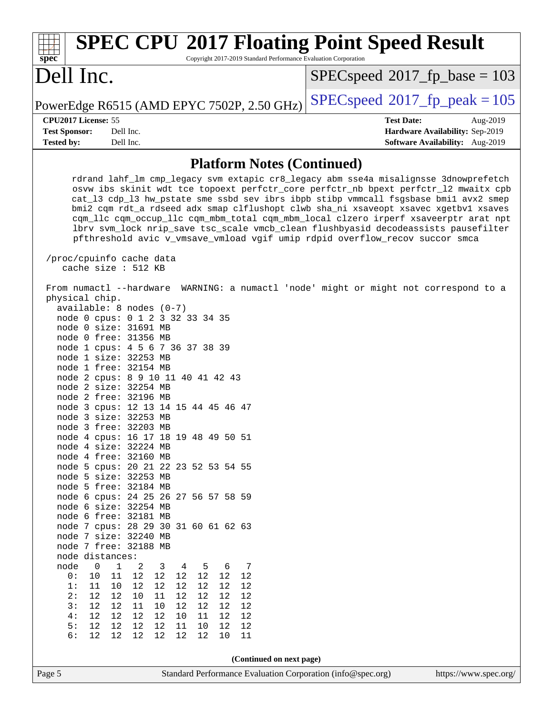| <b>SPEC CPU®2017 Floating Point Speed Result</b><br>Copyright 2017-2019 Standard Performance Evaluation Corporation<br>spec <sup>®</sup>                                                                                                                                                                                                                                                                                                                                                                                                                                                                                                                                                                                                                                                                                                                                                                                                                                                                                                                                                                                                                                                                                                                                                                                                                        |                                                                                                     |  |  |  |  |
|-----------------------------------------------------------------------------------------------------------------------------------------------------------------------------------------------------------------------------------------------------------------------------------------------------------------------------------------------------------------------------------------------------------------------------------------------------------------------------------------------------------------------------------------------------------------------------------------------------------------------------------------------------------------------------------------------------------------------------------------------------------------------------------------------------------------------------------------------------------------------------------------------------------------------------------------------------------------------------------------------------------------------------------------------------------------------------------------------------------------------------------------------------------------------------------------------------------------------------------------------------------------------------------------------------------------------------------------------------------------|-----------------------------------------------------------------------------------------------------|--|--|--|--|
| Dell Inc.                                                                                                                                                                                                                                                                                                                                                                                                                                                                                                                                                                                                                                                                                                                                                                                                                                                                                                                                                                                                                                                                                                                                                                                                                                                                                                                                                       | $SPEC speed^{\circ}2017$ fp base = 103                                                              |  |  |  |  |
| PowerEdge R6515 (AMD EPYC 7502P, 2.50 GHz)                                                                                                                                                                                                                                                                                                                                                                                                                                                                                                                                                                                                                                                                                                                                                                                                                                                                                                                                                                                                                                                                                                                                                                                                                                                                                                                      | $SPEC speed^{\circ}2017$ fp peak = 105                                                              |  |  |  |  |
| CPU2017 License: 55<br><b>Test Sponsor:</b><br>Dell Inc.<br><b>Tested by:</b><br>Dell Inc.                                                                                                                                                                                                                                                                                                                                                                                                                                                                                                                                                                                                                                                                                                                                                                                                                                                                                                                                                                                                                                                                                                                                                                                                                                                                      | <b>Test Date:</b><br>Aug-2019<br>Hardware Availability: Sep-2019<br>Software Availability: Aug-2019 |  |  |  |  |
| <b>Platform Notes (Continued)</b>                                                                                                                                                                                                                                                                                                                                                                                                                                                                                                                                                                                                                                                                                                                                                                                                                                                                                                                                                                                                                                                                                                                                                                                                                                                                                                                               |                                                                                                     |  |  |  |  |
| rdrand lahf_lm cmp_legacy svm extapic cr8_legacy abm sse4a misalignsse 3dnowprefetch<br>osvw ibs skinit wdt tce topoext perfctr_core perfctr_nb bpext perfctr_12 mwaitx cpb<br>cat_13 cdp_13 hw_pstate sme ssbd sev ibrs ibpb stibp vmmcall fsgsbase bmil avx2 smep<br>bmi2 cqm rdt_a rdseed adx smap clflushopt clwb sha_ni xsaveopt xsavec xgetbvl xsaves<br>cqm_llc cqm_occup_llc cqm_mbm_total cqm_mbm_local clzero irperf xsaveerptr arat npt<br>lbrv svm_lock nrip_save tsc_scale vmcb_clean flushbyasid decodeassists pausefilter<br>pfthreshold avic v_vmsave_vmload vgif umip rdpid overflow_recov succor smca<br>/proc/cpuinfo cache data<br>cache size : 512 KB                                                                                                                                                                                                                                                                                                                                                                                                                                                                                                                                                                                                                                                                                      |                                                                                                     |  |  |  |  |
| From numactl --hardware WARNING: a numactl 'node' might or might not correspond to a<br>physical chip.<br>available: 8 nodes (0-7)<br>node 0 cpus: 0 1 2 3 32 33 34 35<br>node 0 size: 31691 MB<br>node 0 free: 31356 MB<br>node 1 cpus: 4 5 6 7 36 37 38 39<br>node 1 size: 32253 MB<br>node 1 free: 32154 MB<br>node 2 cpus: 8 9 10 11 40 41 42 43<br>node 2 size: 32254 MB<br>node 2 free: 32196 MB<br>node 3 cpus: 12 13 14 15 44 45 46 47<br>node 3 size: 32253 MB<br>node 3 free: 32203 MB<br>node 4 cpus: 16 17 18 19 48 49 50 51<br>node 4 size: 32224 MB<br>node 4 free: 32160 MB<br>node 5 cpus: 20 21 22 23 52 53 54 55<br>node 5 size: 32253 MB<br>node 5 free: 32184 MB<br>node 6 cpus: 24 25 26 27 56 57 58 59<br>node 6 size: 32254 MB<br>node 6 free: 32181 MB<br>node 7 cpus: 28 29 30 31 60 61 62 63<br>node 7 size: 32240 MB<br>node 7 free: 32188 MB<br>node distances:<br>$\mathbf 0$<br>$\mathbf 1$<br>node<br>2<br>5<br>7<br>3<br>4<br>6<br>$12$<br>12<br>$1\,2$<br>12<br>0:<br>10<br>11<br>12<br>12<br>12<br>12<br>12<br>12<br>1:<br>11<br>10<br>12<br>12<br>2:<br>12<br>12<br>12<br>12<br>12<br>10<br>11<br>12<br>3:<br>12<br>12<br>11<br>12<br>12<br>12<br>10<br>12<br>4:<br>12<br>12<br>12<br>12<br>11<br>12<br>10<br>12<br>5:<br>12<br>12<br>12<br>12<br>11<br>10<br>12<br>12<br>6:<br>12<br>12<br>12<br>12<br>12<br>12<br>11<br>10 |                                                                                                     |  |  |  |  |
| (Continued on next page)                                                                                                                                                                                                                                                                                                                                                                                                                                                                                                                                                                                                                                                                                                                                                                                                                                                                                                                                                                                                                                                                                                                                                                                                                                                                                                                                        |                                                                                                     |  |  |  |  |
| Page 5<br>Standard Performance Evaluation Corporation (info@spec.org)                                                                                                                                                                                                                                                                                                                                                                                                                                                                                                                                                                                                                                                                                                                                                                                                                                                                                                                                                                                                                                                                                                                                                                                                                                                                                           | https://www.spec.org/                                                                               |  |  |  |  |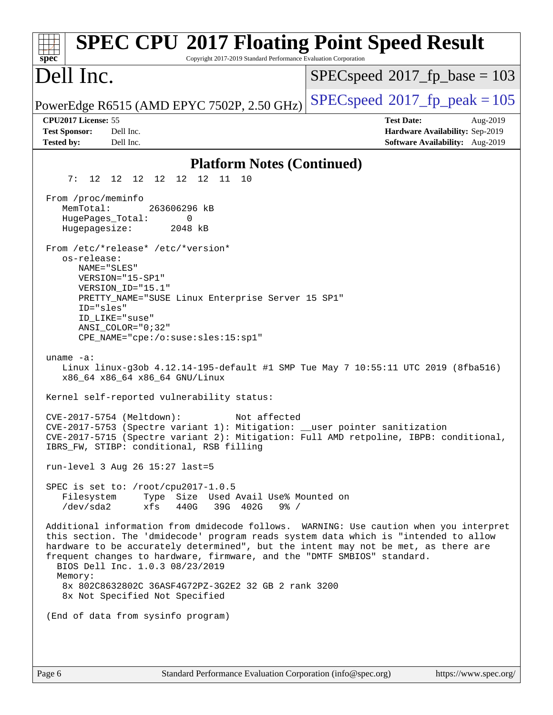| <b>SPEC CPU®2017 Floating Point Speed Result</b><br>Copyright 2017-2019 Standard Performance Evaluation Corporation<br>$s\overline{p}\overline{e}\overline{c}$                                                                                                                                                                                                                               |                                                                                                     |
|----------------------------------------------------------------------------------------------------------------------------------------------------------------------------------------------------------------------------------------------------------------------------------------------------------------------------------------------------------------------------------------------|-----------------------------------------------------------------------------------------------------|
| Dell Inc.                                                                                                                                                                                                                                                                                                                                                                                    | $SPEC speed^{\circ}2017\_fp\_base = 103$                                                            |
| PowerEdge R6515 (AMD EPYC 7502P, 2.50 GHz)                                                                                                                                                                                                                                                                                                                                                   | $SPEC speed^{\circ}2017$ _fp_peak = 105                                                             |
| CPU2017 License: 55<br><b>Test Sponsor:</b><br>Dell Inc.<br><b>Tested by:</b><br>Dell Inc.                                                                                                                                                                                                                                                                                                   | <b>Test Date:</b><br>Aug-2019<br>Hardware Availability: Sep-2019<br>Software Availability: Aug-2019 |
| <b>Platform Notes (Continued)</b>                                                                                                                                                                                                                                                                                                                                                            |                                                                                                     |
| 12 12<br>7:<br>11 10<br>12 12 12<br>12                                                                                                                                                                                                                                                                                                                                                       |                                                                                                     |
| From /proc/meminfo<br>MemTotal:<br>263606296 kB<br>HugePages_Total:<br>0<br>Hugepagesize:<br>2048 kB<br>From /etc/*release* /etc/*version*                                                                                                                                                                                                                                                   |                                                                                                     |
| os-release:<br>NAME="SLES"<br>VERSION="15-SP1"<br>VERSION_ID="15.1"<br>PRETTY_NAME="SUSE Linux Enterprise Server 15 SP1"<br>ID="sles"<br>ID_LIKE="suse"                                                                                                                                                                                                                                      |                                                                                                     |
| $ANSI$ _COLOR="0;32"<br>CPE_NAME="cpe:/o:suse:sles:15:sp1"                                                                                                                                                                                                                                                                                                                                   |                                                                                                     |
| uname $-a$ :<br>Linux linux-g3ob 4.12.14-195-default #1 SMP Tue May 7 10:55:11 UTC 2019 (8fba516)<br>x86_64 x86_64 x86_64 GNU/Linux                                                                                                                                                                                                                                                          |                                                                                                     |
| Kernel self-reported vulnerability status:                                                                                                                                                                                                                                                                                                                                                   |                                                                                                     |
| CVE-2017-5754 (Meltdown):<br>Not affected<br>CVE-2017-5753 (Spectre variant 1): Mitigation: __user pointer sanitization<br>CVE-2017-5715 (Spectre variant 2): Mitigation: Full AMD retpoline, IBPB: conditional,<br>IBRS_FW, STIBP: conditional, RSB filling                                                                                                                                 |                                                                                                     |
| run-level 3 Aug 26 15:27 last=5                                                                                                                                                                                                                                                                                                                                                              |                                                                                                     |
| SPEC is set to: /root/cpu2017-1.0.5<br>Filesystem<br>Type Size Used Avail Use% Mounted on<br>39G 402G<br>/dev/sda2<br>xfs<br>440G<br>$9\frac{6}{6}$ /                                                                                                                                                                                                                                        |                                                                                                     |
| Additional information from dmidecode follows. WARNING: Use caution when you interpret<br>this section. The 'dmidecode' program reads system data which is "intended to allow<br>hardware to be accurately determined", but the intent may not be met, as there are<br>frequent changes to hardware, firmware, and the "DMTF SMBIOS" standard.<br>BIOS Dell Inc. 1.0.3 08/23/2019<br>Memory: |                                                                                                     |
| 8x 802C8632802C 36ASF4G72PZ-3G2E2 32 GB 2 rank 3200<br>8x Not Specified Not Specified                                                                                                                                                                                                                                                                                                        |                                                                                                     |
| (End of data from sysinfo program)                                                                                                                                                                                                                                                                                                                                                           |                                                                                                     |
|                                                                                                                                                                                                                                                                                                                                                                                              |                                                                                                     |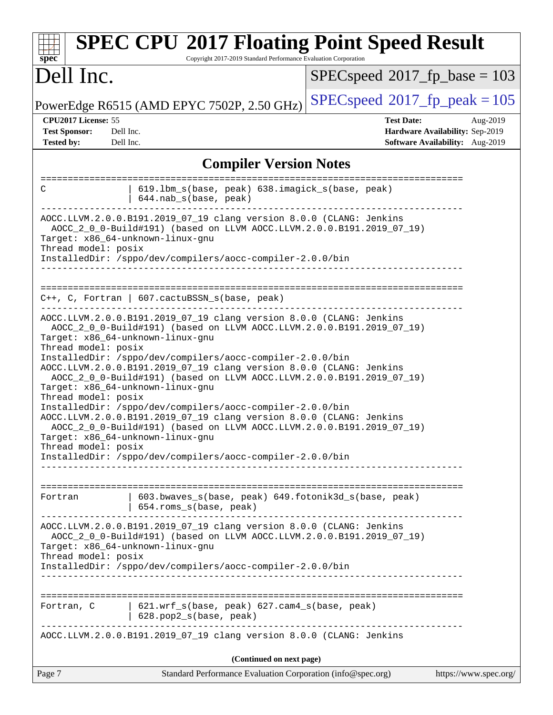| spec <sup>®</sup>                                                                                                                                                                                                                                                                                                                                                                                        | <b>SPEC CPU®2017 Floating Point Speed Result</b><br>Copyright 2017-2019 Standard Performance Evaluation Corporation                                                                                                                                                                                                  |                                          |                                                                                |  |  |
|----------------------------------------------------------------------------------------------------------------------------------------------------------------------------------------------------------------------------------------------------------------------------------------------------------------------------------------------------------------------------------------------------------|----------------------------------------------------------------------------------------------------------------------------------------------------------------------------------------------------------------------------------------------------------------------------------------------------------------------|------------------------------------------|--------------------------------------------------------------------------------|--|--|
| Dell Inc.                                                                                                                                                                                                                                                                                                                                                                                                |                                                                                                                                                                                                                                                                                                                      | $SPEC speed^{\circ}2017\_fp\_base = 103$ |                                                                                |  |  |
|                                                                                                                                                                                                                                                                                                                                                                                                          | PowerEdge R6515 (AMD EPYC 7502P, 2.50 GHz)                                                                                                                                                                                                                                                                           | $SPEC speed^{\circ}2017$ fp peak = 105   |                                                                                |  |  |
| CPU2017 License: 55<br><b>Test Sponsor:</b><br><b>Tested by:</b>                                                                                                                                                                                                                                                                                                                                         | Dell Inc.<br>Dell Inc.                                                                                                                                                                                                                                                                                               | <b>Test Date:</b>                        | Aug-2019<br>Hardware Availability: Sep-2019<br>Software Availability: Aug-2019 |  |  |
|                                                                                                                                                                                                                                                                                                                                                                                                          | <b>Compiler Version Notes</b>                                                                                                                                                                                                                                                                                        |                                          |                                                                                |  |  |
| C                                                                                                                                                                                                                                                                                                                                                                                                        | 619.1bm_s(base, peak) 638.imagick_s(base, peak)<br>644.nab_s(base, peak)                                                                                                                                                                                                                                             |                                          |                                                                                |  |  |
| Thread model: posix                                                                                                                                                                                                                                                                                                                                                                                      | AOCC.LLVM.2.0.0.B191.2019_07_19 clang version 8.0.0 (CLANG: Jenkins<br>AOCC_2_0_0-Build#191) (based on LLVM AOCC.LLVM.2.0.0.B191.2019_07_19)<br>Target: x86_64-unknown-linux-gnu<br>InstalledDir: /sppo/dev/compilers/aocc-compiler-2.0.0/bin                                                                        |                                          |                                                                                |  |  |
|                                                                                                                                                                                                                                                                                                                                                                                                          | $C++$ , C, Fortran   607.cactuBSSN_s(base, peak)                                                                                                                                                                                                                                                                     |                                          |                                                                                |  |  |
| Thread model: posix                                                                                                                                                                                                                                                                                                                                                                                      | AOCC.LLVM.2.0.0.B191.2019_07_19 clang version 8.0.0 (CLANG: Jenkins<br>AOCC_2_0_0-Build#191) (based on LLVM AOCC.LLVM.2.0.0.B191.2019_07_19)<br>Target: x86_64-unknown-linux-gnu<br>InstalledDir: /sppo/dev/compilers/aocc-compiler-2.0.0/bin<br>AOCC.LLVM.2.0.0.B191.2019_07_19 clang version 8.0.0 (CLANG: Jenkins |                                          |                                                                                |  |  |
| AOCC_2_0_0-Build#191) (based on LLVM AOCC.LLVM.2.0.0.B191.2019_07_19)<br>Target: x86_64-unknown-linux-gnu<br>Thread model: posix<br>InstalledDir: /sppo/dev/compilers/aocc-compiler-2.0.0/bin<br>AOCC.LLVM.2.0.0.B191.2019_07_19 clang version 8.0.0 (CLANG: Jenkins<br>AOCC_2_0_0-Build#191) (based on LLVM AOCC.LLVM.2.0.0.B191.2019_07_19)<br>Target: x86_64-unknown-linux-gnu<br>Thread model: posix |                                                                                                                                                                                                                                                                                                                      |                                          |                                                                                |  |  |
|                                                                                                                                                                                                                                                                                                                                                                                                          | InstalledDir: /sppo/dev/compilers/aocc-compiler-2.0.0/bin                                                                                                                                                                                                                                                            |                                          |                                                                                |  |  |
| Fortran                                                                                                                                                                                                                                                                                                                                                                                                  | 603.bwaves_s(base, peak) 649.fotonik3d_s(base, peak)<br>654.roms_s(base, peak)                                                                                                                                                                                                                                       |                                          |                                                                                |  |  |
| Thread model: posix                                                                                                                                                                                                                                                                                                                                                                                      | AOCC.LLVM.2.0.0.B191.2019_07_19 clang version 8.0.0 (CLANG: Jenkins<br>AOCC_2_0_0-Build#191) (based on LLVM AOCC.LLVM.2.0.0.B191.2019_07_19)<br>Target: x86_64-unknown-linux-gnu<br>InstalledDir: /sppo/dev/compilers/aocc-compiler-2.0.0/bin                                                                        |                                          |                                                                                |  |  |
| Fortran, C                                                                                                                                                                                                                                                                                                                                                                                               | $621.wrf_s(base, peak)$ $627.cam4_s(base, peak)$<br>$  628.pop2_s(base, peak)$                                                                                                                                                                                                                                       |                                          |                                                                                |  |  |
|                                                                                                                                                                                                                                                                                                                                                                                                          | AOCC.LLVM.2.0.0.B191.2019_07_19 clang version 8.0.0 (CLANG: Jenkins                                                                                                                                                                                                                                                  |                                          |                                                                                |  |  |
| (Continued on next page)                                                                                                                                                                                                                                                                                                                                                                                 |                                                                                                                                                                                                                                                                                                                      |                                          |                                                                                |  |  |
| Page 7                                                                                                                                                                                                                                                                                                                                                                                                   | Standard Performance Evaluation Corporation (info@spec.org)                                                                                                                                                                                                                                                          |                                          | https://www.spec.org/                                                          |  |  |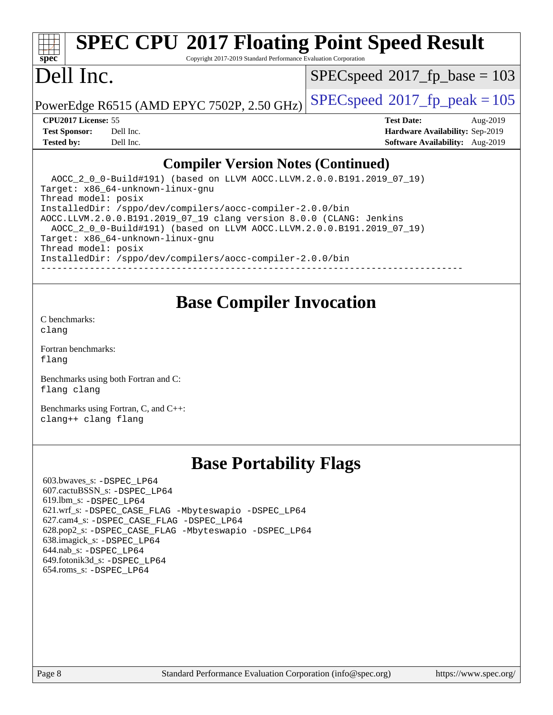# **[SPEC CPU](http://www.spec.org/auto/cpu2017/Docs/result-fields.html#SPECCPU2017FloatingPointSpeedResult)[2017 Floating Point Speed Result](http://www.spec.org/auto/cpu2017/Docs/result-fields.html#SPECCPU2017FloatingPointSpeedResult)**

Copyright 2017-2019 Standard Performance Evaluation Corporation

### Dell Inc.

**[spec](http://www.spec.org/)**

 $SPEC speed^{\circ}2017\_fp\_base = 103$ 

PowerEdge R6515 (AMD EPYC 7502P, 2.50 GHz)  $\left|$  [SPECspeed](http://www.spec.org/auto/cpu2017/Docs/result-fields.html#SPECspeed2017fppeak)®[2017\\_fp\\_peak = 1](http://www.spec.org/auto/cpu2017/Docs/result-fields.html#SPECspeed2017fppeak)05

#### **[CPU2017 License:](http://www.spec.org/auto/cpu2017/Docs/result-fields.html#CPU2017License)** 55 **[Test Date:](http://www.spec.org/auto/cpu2017/Docs/result-fields.html#TestDate)** Aug-2019

**[Tested by:](http://www.spec.org/auto/cpu2017/Docs/result-fields.html#Testedby)** Dell Inc. **[Software Availability:](http://www.spec.org/auto/cpu2017/Docs/result-fields.html#SoftwareAvailability)** Aug-2019

**[Test Sponsor:](http://www.spec.org/auto/cpu2017/Docs/result-fields.html#TestSponsor)** Dell Inc. **[Hardware Availability:](http://www.spec.org/auto/cpu2017/Docs/result-fields.html#HardwareAvailability)** Sep-2019

### **[Compiler Version Notes \(Continued\)](http://www.spec.org/auto/cpu2017/Docs/result-fields.html#CompilerVersionNotes)**

 AOCC\_2\_0\_0-Build#191) (based on LLVM AOCC.LLVM.2.0.0.B191.2019\_07\_19) Target: x86\_64-unknown-linux-gnu Thread model: posix InstalledDir: /sppo/dev/compilers/aocc-compiler-2.0.0/bin AOCC.LLVM.2.0.0.B191.2019\_07\_19 clang version 8.0.0 (CLANG: Jenkins AOCC\_2\_0\_0-Build#191) (based on LLVM AOCC.LLVM.2.0.0.B191.2019\_07\_19) Target: x86\_64-unknown-linux-gnu Thread model: posix InstalledDir: /sppo/dev/compilers/aocc-compiler-2.0.0/bin ------------------------------------------------------------------------------

### **[Base Compiler Invocation](http://www.spec.org/auto/cpu2017/Docs/result-fields.html#BaseCompilerInvocation)**

[C benchmarks](http://www.spec.org/auto/cpu2017/Docs/result-fields.html#Cbenchmarks): [clang](http://www.spec.org/cpu2017/results/res2019q3/cpu2017-20190831-17282.flags.html#user_CCbase_clang-c)

[Fortran benchmarks](http://www.spec.org/auto/cpu2017/Docs/result-fields.html#Fortranbenchmarks): [flang](http://www.spec.org/cpu2017/results/res2019q3/cpu2017-20190831-17282.flags.html#user_FCbase_flang)

[Benchmarks using both Fortran and C](http://www.spec.org/auto/cpu2017/Docs/result-fields.html#BenchmarksusingbothFortranandC): [flang](http://www.spec.org/cpu2017/results/res2019q3/cpu2017-20190831-17282.flags.html#user_CC_FCbase_flang) [clang](http://www.spec.org/cpu2017/results/res2019q3/cpu2017-20190831-17282.flags.html#user_CC_FCbase_clang-c)

[Benchmarks using Fortran, C, and C++:](http://www.spec.org/auto/cpu2017/Docs/result-fields.html#BenchmarksusingFortranCandCXX) [clang++](http://www.spec.org/cpu2017/results/res2019q3/cpu2017-20190831-17282.flags.html#user_CC_CXX_FCbase_clang-cpp) [clang](http://www.spec.org/cpu2017/results/res2019q3/cpu2017-20190831-17282.flags.html#user_CC_CXX_FCbase_clang-c) [flang](http://www.spec.org/cpu2017/results/res2019q3/cpu2017-20190831-17282.flags.html#user_CC_CXX_FCbase_flang)

### **[Base Portability Flags](http://www.spec.org/auto/cpu2017/Docs/result-fields.html#BasePortabilityFlags)**

 603.bwaves\_s: [-DSPEC\\_LP64](http://www.spec.org/cpu2017/results/res2019q3/cpu2017-20190831-17282.flags.html#suite_baseEXTRA_PORTABILITY603_bwaves_s_DSPEC_LP64) 607.cactuBSSN\_s: [-DSPEC\\_LP64](http://www.spec.org/cpu2017/results/res2019q3/cpu2017-20190831-17282.flags.html#suite_baseEXTRA_PORTABILITY607_cactuBSSN_s_DSPEC_LP64) 619.lbm\_s: [-DSPEC\\_LP64](http://www.spec.org/cpu2017/results/res2019q3/cpu2017-20190831-17282.flags.html#suite_baseEXTRA_PORTABILITY619_lbm_s_DSPEC_LP64) 621.wrf\_s: [-DSPEC\\_CASE\\_FLAG](http://www.spec.org/cpu2017/results/res2019q3/cpu2017-20190831-17282.flags.html#b621.wrf_s_baseCPORTABILITY_DSPEC_CASE_FLAG) [-Mbyteswapio](http://www.spec.org/cpu2017/results/res2019q3/cpu2017-20190831-17282.flags.html#user_baseFPORTABILITY621_wrf_s_F-mbyteswapio_543c39ce38db59bcbc3b888917ef58c313007ae1c27520b689e012995ae261114051d1d5efcb4182d175ce22a6a15532d3a9999882dd2c360e6d853f41da6883) [-DSPEC\\_LP64](http://www.spec.org/cpu2017/results/res2019q3/cpu2017-20190831-17282.flags.html#suite_baseEXTRA_PORTABILITY621_wrf_s_DSPEC_LP64) 627.cam4\_s: [-DSPEC\\_CASE\\_FLAG](http://www.spec.org/cpu2017/results/res2019q3/cpu2017-20190831-17282.flags.html#b627.cam4_s_basePORTABILITY_DSPEC_CASE_FLAG) [-DSPEC\\_LP64](http://www.spec.org/cpu2017/results/res2019q3/cpu2017-20190831-17282.flags.html#suite_baseEXTRA_PORTABILITY627_cam4_s_DSPEC_LP64) 628.pop2\_s: [-DSPEC\\_CASE\\_FLAG](http://www.spec.org/cpu2017/results/res2019q3/cpu2017-20190831-17282.flags.html#b628.pop2_s_baseCPORTABILITY_DSPEC_CASE_FLAG) [-Mbyteswapio](http://www.spec.org/cpu2017/results/res2019q3/cpu2017-20190831-17282.flags.html#user_baseFPORTABILITY628_pop2_s_F-mbyteswapio_543c39ce38db59bcbc3b888917ef58c313007ae1c27520b689e012995ae261114051d1d5efcb4182d175ce22a6a15532d3a9999882dd2c360e6d853f41da6883) [-DSPEC\\_LP64](http://www.spec.org/cpu2017/results/res2019q3/cpu2017-20190831-17282.flags.html#suite_baseEXTRA_PORTABILITY628_pop2_s_DSPEC_LP64) 638.imagick\_s: [-DSPEC\\_LP64](http://www.spec.org/cpu2017/results/res2019q3/cpu2017-20190831-17282.flags.html#suite_baseEXTRA_PORTABILITY638_imagick_s_DSPEC_LP64) 644.nab\_s: [-DSPEC\\_LP64](http://www.spec.org/cpu2017/results/res2019q3/cpu2017-20190831-17282.flags.html#suite_baseEXTRA_PORTABILITY644_nab_s_DSPEC_LP64) 649.fotonik3d\_s: [-DSPEC\\_LP64](http://www.spec.org/cpu2017/results/res2019q3/cpu2017-20190831-17282.flags.html#suite_baseEXTRA_PORTABILITY649_fotonik3d_s_DSPEC_LP64) 654.roms\_s: [-DSPEC\\_LP64](http://www.spec.org/cpu2017/results/res2019q3/cpu2017-20190831-17282.flags.html#suite_baseEXTRA_PORTABILITY654_roms_s_DSPEC_LP64)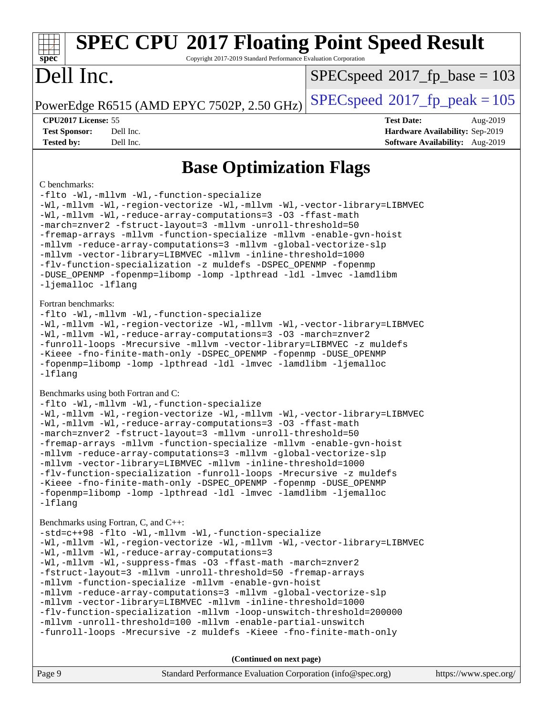# **[SPEC CPU](http://www.spec.org/auto/cpu2017/Docs/result-fields.html#SPECCPU2017FloatingPointSpeedResult)[2017 Floating Point Speed Result](http://www.spec.org/auto/cpu2017/Docs/result-fields.html#SPECCPU2017FloatingPointSpeedResult)**

Copyright 2017-2019 Standard Performance Evaluation Corporation

# Dell Inc.

**[spec](http://www.spec.org/)**

[SPECspeed](http://www.spec.org/auto/cpu2017/Docs/result-fields.html#SPECspeed2017fpbase)<sup>®</sup>2017 fp base = 103

#### **[CPU2017 License:](http://www.spec.org/auto/cpu2017/Docs/result-fields.html#CPU2017License)** 55 **[Test Date:](http://www.spec.org/auto/cpu2017/Docs/result-fields.html#TestDate)** Aug-2019

PowerEdge R6515 (AMD EPYC 7502P, 2.50 GHz)  $\left|$  [SPECspeed](http://www.spec.org/auto/cpu2017/Docs/result-fields.html#SPECspeed2017fppeak)<sup>®</sup>[2017\\_fp\\_peak = 1](http://www.spec.org/auto/cpu2017/Docs/result-fields.html#SPECspeed2017fppeak)05

**[Test Sponsor:](http://www.spec.org/auto/cpu2017/Docs/result-fields.html#TestSponsor)** Dell Inc. **[Hardware Availability:](http://www.spec.org/auto/cpu2017/Docs/result-fields.html#HardwareAvailability)** Sep-2019 **[Tested by:](http://www.spec.org/auto/cpu2017/Docs/result-fields.html#Testedby)** Dell Inc. **[Software Availability:](http://www.spec.org/auto/cpu2017/Docs/result-fields.html#SoftwareAvailability)** Aug-2019

### **[Base Optimization Flags](http://www.spec.org/auto/cpu2017/Docs/result-fields.html#BaseOptimizationFlags)**

#### [C benchmarks](http://www.spec.org/auto/cpu2017/Docs/result-fields.html#Cbenchmarks):

[-flto](http://www.spec.org/cpu2017/results/res2019q3/cpu2017-20190831-17282.flags.html#user_CCbase_aocc-flto) [-Wl,-mllvm -Wl,-function-specialize](http://www.spec.org/cpu2017/results/res2019q3/cpu2017-20190831-17282.flags.html#user_CCbase_F-function-specialize_7e7e661e57922243ee67c9a1251cb8910e607325179a0ce7f2884e09a6f5d4a5ef0ae4f37e8a2a11c95fc48e931f06dc2b6016f14b511fcb441e048bef1b065a) [-Wl,-mllvm -Wl,-region-vectorize](http://www.spec.org/cpu2017/results/res2019q3/cpu2017-20190831-17282.flags.html#user_CCbase_F-region-vectorize_fb6c6b5aa293c88efc6c7c2b52b20755e943585b1fe8658c35afef78727fff56e1a56891413c30e36b8e2a6f9a71126986319243e80eb6110b78b288f533c52b) [-Wl,-mllvm -Wl,-vector-library=LIBMVEC](http://www.spec.org/cpu2017/results/res2019q3/cpu2017-20190831-17282.flags.html#user_CCbase_F-use-vector-library_0a14b27fae317f283640384a31f7bfcc2bd4c1d0b5cfc618a3a430800c9b20217b00f61303eff223a3251b4f06ffbc9739dc5296db9d1fbb9ad24a3939d86d66) [-Wl,-mllvm -Wl,-reduce-array-computations=3](http://www.spec.org/cpu2017/results/res2019q3/cpu2017-20190831-17282.flags.html#user_CCbase_F-reduce-array-computations_b882aefe7a5dda4e33149f6299762b9a720dace3e498e13756f4c04e5a19edf5315c1f3993de2e61ec41e8c206231f84e05da7040e1bb5d69ba27d10a12507e4) [-O3](http://www.spec.org/cpu2017/results/res2019q3/cpu2017-20190831-17282.flags.html#user_CCbase_F-O3) [-ffast-math](http://www.spec.org/cpu2017/results/res2019q3/cpu2017-20190831-17282.flags.html#user_CCbase_aocc-ffast-math) [-march=znver2](http://www.spec.org/cpu2017/results/res2019q3/cpu2017-20190831-17282.flags.html#user_CCbase_aocc-march_3e2e19cff2eeef60c5d90b059483627c9ea47eca6d66670dbd53f9185f6439e27eb5e104cf773e9e8ab18c8842ce63e461a3e948d0214bd567ef3ade411bf467) [-fstruct-layout=3](http://www.spec.org/cpu2017/results/res2019q3/cpu2017-20190831-17282.flags.html#user_CCbase_F-struct-layout) [-mllvm -unroll-threshold=50](http://www.spec.org/cpu2017/results/res2019q3/cpu2017-20190831-17282.flags.html#user_CCbase_F-unroll-threshold_458874500b2c105d6d5cb4d7a611c40e2b16e9e3d26b355fea72d644c3673b4de4b3932662f0ed3dbec75c491a13da2d2ca81180bd779dc531083ef1e1e549dc) [-fremap-arrays](http://www.spec.org/cpu2017/results/res2019q3/cpu2017-20190831-17282.flags.html#user_CCbase_F-fremap-arrays) [-mllvm -function-specialize](http://www.spec.org/cpu2017/results/res2019q3/cpu2017-20190831-17282.flags.html#user_CCbase_F-function-specialize_233b3bdba86027f1b094368157e481c5bc59f40286dc25bfadc1858dcd5745c24fd30d5f188710db7fea399bcc9f44a80b3ce3aacc70a8870250c3ae5e1f35b8) [-mllvm -enable-gvn-hoist](http://www.spec.org/cpu2017/results/res2019q3/cpu2017-20190831-17282.flags.html#user_CCbase_F-enable-gvn-hoist_e5856354646dd6ca1333a0ad99b817e4cf8932b91b82809fd8fd47ceff7b22a89eba5c98fd3e3fa5200368fd772cec3dd56abc3c8f7b655a71b9f9848dddedd5) [-mllvm -reduce-array-computations=3](http://www.spec.org/cpu2017/results/res2019q3/cpu2017-20190831-17282.flags.html#user_CCbase_F-reduce-array-computations_aceadb8604558b566e0e3a0d7a3c1533923dd1fa0889614e16288028922629a28d5695c24d3b3be4306b1e311c54317dfffe3a2e57fbcaabc737a1798de39145) [-mllvm -global-vectorize-slp](http://www.spec.org/cpu2017/results/res2019q3/cpu2017-20190831-17282.flags.html#user_CCbase_F-global-vectorize-slp_a3935e8627af4ced727033b1ffd4db27f4d541a363d28d82bf4c2925fb3a0fd4115d6e42d13a2829f9e024d6608eb67a85cb49770f2da5c5ac8dbc737afad603) [-mllvm -vector-library=LIBMVEC](http://www.spec.org/cpu2017/results/res2019q3/cpu2017-20190831-17282.flags.html#user_CCbase_F-use-vector-library_e584e20b4f7ec96aa109254b65d8e01d864f3d68580371b9d93ed7c338191d4cfce20c3c864632264effc6bbe4c7c38153d02096a342ee92501c4a53204a7871) [-mllvm -inline-threshold=1000](http://www.spec.org/cpu2017/results/res2019q3/cpu2017-20190831-17282.flags.html#user_CCbase_dragonegg-llvm-inline-threshold_b7832241b0a6397e4ecdbaf0eb7defdc10f885c2a282fa3240fdc99844d543fda39cf8a4a9dccf68cf19b5438ac3b455264f478df15da0f4988afa40d8243bab) [-flv-function-specialization](http://www.spec.org/cpu2017/results/res2019q3/cpu2017-20190831-17282.flags.html#user_CCbase_F-flv-function-specialization) [-z muldefs](http://www.spec.org/cpu2017/results/res2019q3/cpu2017-20190831-17282.flags.html#user_CCbase_aocc-muldefs) [-DSPEC\\_OPENMP](http://www.spec.org/cpu2017/results/res2019q3/cpu2017-20190831-17282.flags.html#suite_CCbase_DSPEC_OPENMP) [-fopenmp](http://www.spec.org/cpu2017/results/res2019q3/cpu2017-20190831-17282.flags.html#user_CCbase_aocc-fopenmp) [-DUSE\\_OPENMP](http://www.spec.org/cpu2017/results/res2019q3/cpu2017-20190831-17282.flags.html#user_CCbase_F-DUSE_OPENMP) [-fopenmp=libomp](http://www.spec.org/cpu2017/results/res2019q3/cpu2017-20190831-17282.flags.html#user_CCbase_aocc-fopenmp_3eb6ab80166bcc84161ff8c20c8d5bc344f88119f45620444596454f7d72e99b7a0ceefc2d1b4d190bd07306bbfdfc20f11f5a2dc69c9b03c72239f8406741c3) [-lomp](http://www.spec.org/cpu2017/results/res2019q3/cpu2017-20190831-17282.flags.html#user_CCbase_F-lomp) [-lpthread](http://www.spec.org/cpu2017/results/res2019q3/cpu2017-20190831-17282.flags.html#user_CCbase_F-lpthread) [-ldl](http://www.spec.org/cpu2017/results/res2019q3/cpu2017-20190831-17282.flags.html#user_CCbase_F-ldl) [-lmvec](http://www.spec.org/cpu2017/results/res2019q3/cpu2017-20190831-17282.flags.html#user_CCbase_F-lmvec) [-lamdlibm](http://www.spec.org/cpu2017/results/res2019q3/cpu2017-20190831-17282.flags.html#user_CCbase_F-lamdlibm) [-ljemalloc](http://www.spec.org/cpu2017/results/res2019q3/cpu2017-20190831-17282.flags.html#user_CCbase_jemalloc-lib) [-lflang](http://www.spec.org/cpu2017/results/res2019q3/cpu2017-20190831-17282.flags.html#user_CCbase_F-lflang)

#### [Fortran benchmarks](http://www.spec.org/auto/cpu2017/Docs/result-fields.html#Fortranbenchmarks):

[-flto](http://www.spec.org/cpu2017/results/res2019q3/cpu2017-20190831-17282.flags.html#user_FCbase_aocc-flto) [-Wl,-mllvm -Wl,-function-specialize](http://www.spec.org/cpu2017/results/res2019q3/cpu2017-20190831-17282.flags.html#user_FCbase_F-function-specialize_7e7e661e57922243ee67c9a1251cb8910e607325179a0ce7f2884e09a6f5d4a5ef0ae4f37e8a2a11c95fc48e931f06dc2b6016f14b511fcb441e048bef1b065a) [-Wl,-mllvm -Wl,-region-vectorize](http://www.spec.org/cpu2017/results/res2019q3/cpu2017-20190831-17282.flags.html#user_FCbase_F-region-vectorize_fb6c6b5aa293c88efc6c7c2b52b20755e943585b1fe8658c35afef78727fff56e1a56891413c30e36b8e2a6f9a71126986319243e80eb6110b78b288f533c52b) [-Wl,-mllvm -Wl,-vector-library=LIBMVEC](http://www.spec.org/cpu2017/results/res2019q3/cpu2017-20190831-17282.flags.html#user_FCbase_F-use-vector-library_0a14b27fae317f283640384a31f7bfcc2bd4c1d0b5cfc618a3a430800c9b20217b00f61303eff223a3251b4f06ffbc9739dc5296db9d1fbb9ad24a3939d86d66) [-Wl,-mllvm -Wl,-reduce-array-computations=3](http://www.spec.org/cpu2017/results/res2019q3/cpu2017-20190831-17282.flags.html#user_FCbase_F-reduce-array-computations_b882aefe7a5dda4e33149f6299762b9a720dace3e498e13756f4c04e5a19edf5315c1f3993de2e61ec41e8c206231f84e05da7040e1bb5d69ba27d10a12507e4) [-O3](http://www.spec.org/cpu2017/results/res2019q3/cpu2017-20190831-17282.flags.html#user_FCbase_F-O3) [-march=znver2](http://www.spec.org/cpu2017/results/res2019q3/cpu2017-20190831-17282.flags.html#user_FCbase_aocc-march_3e2e19cff2eeef60c5d90b059483627c9ea47eca6d66670dbd53f9185f6439e27eb5e104cf773e9e8ab18c8842ce63e461a3e948d0214bd567ef3ade411bf467) [-funroll-loops](http://www.spec.org/cpu2017/results/res2019q3/cpu2017-20190831-17282.flags.html#user_FCbase_aocc-unroll-loops) [-Mrecursive](http://www.spec.org/cpu2017/results/res2019q3/cpu2017-20190831-17282.flags.html#user_FCbase_F-mrecursive_20a145d63f12d5750a899e17d4450b5b8b40330a9bb4af13688ca650e6fb30857bbbe44fb35cdbb895df6e5b2769de0a0d7659f51ff17acfbef6febafec4023f) [-mllvm -vector-library=LIBMVEC](http://www.spec.org/cpu2017/results/res2019q3/cpu2017-20190831-17282.flags.html#user_FCbase_F-use-vector-library_e584e20b4f7ec96aa109254b65d8e01d864f3d68580371b9d93ed7c338191d4cfce20c3c864632264effc6bbe4c7c38153d02096a342ee92501c4a53204a7871) [-z muldefs](http://www.spec.org/cpu2017/results/res2019q3/cpu2017-20190831-17282.flags.html#user_FCbase_aocc-muldefs) [-Kieee](http://www.spec.org/cpu2017/results/res2019q3/cpu2017-20190831-17282.flags.html#user_FCbase_F-kieee) [-fno-finite-math-only](http://www.spec.org/cpu2017/results/res2019q3/cpu2017-20190831-17282.flags.html#user_FCbase_aocc-fno-finite-math-only) [-DSPEC\\_OPENMP](http://www.spec.org/cpu2017/results/res2019q3/cpu2017-20190831-17282.flags.html#suite_FCbase_DSPEC_OPENMP) [-fopenmp](http://www.spec.org/cpu2017/results/res2019q3/cpu2017-20190831-17282.flags.html#user_FCbase_aocc-fopenmp) [-DUSE\\_OPENMP](http://www.spec.org/cpu2017/results/res2019q3/cpu2017-20190831-17282.flags.html#user_FCbase_F-DUSE_OPENMP) [-fopenmp=libomp](http://www.spec.org/cpu2017/results/res2019q3/cpu2017-20190831-17282.flags.html#user_FCbase_aocc-fopenmp_3eb6ab80166bcc84161ff8c20c8d5bc344f88119f45620444596454f7d72e99b7a0ceefc2d1b4d190bd07306bbfdfc20f11f5a2dc69c9b03c72239f8406741c3) [-lomp](http://www.spec.org/cpu2017/results/res2019q3/cpu2017-20190831-17282.flags.html#user_FCbase_F-lomp) [-lpthread](http://www.spec.org/cpu2017/results/res2019q3/cpu2017-20190831-17282.flags.html#user_FCbase_F-lpthread) [-ldl](http://www.spec.org/cpu2017/results/res2019q3/cpu2017-20190831-17282.flags.html#user_FCbase_F-ldl) [-lmvec](http://www.spec.org/cpu2017/results/res2019q3/cpu2017-20190831-17282.flags.html#user_FCbase_F-lmvec) [-lamdlibm](http://www.spec.org/cpu2017/results/res2019q3/cpu2017-20190831-17282.flags.html#user_FCbase_F-lamdlibm) [-ljemalloc](http://www.spec.org/cpu2017/results/res2019q3/cpu2017-20190831-17282.flags.html#user_FCbase_jemalloc-lib) [-lflang](http://www.spec.org/cpu2017/results/res2019q3/cpu2017-20190831-17282.flags.html#user_FCbase_F-lflang)

#### [Benchmarks using both Fortran and C](http://www.spec.org/auto/cpu2017/Docs/result-fields.html#BenchmarksusingbothFortranandC):

```
-flto -Wl,-mllvm -Wl,-function-specialize
-Wl,-mllvm -Wl,-region-vectorize -Wl,-mllvm -Wl,-vector-library=LIBMVEC
-Wl,-mllvm -Wl,-reduce-array-computations=3 -O3 -ffast-math
-march=znver2 -fstruct-layout=3 -mllvm -unroll-threshold=50
-fremap-arrays -mllvm -function-specialize -mllvm -enable-gvn-hoist
-mllvm -reduce-array-computations=3 -mllvm -global-vectorize-slp
-mllvm -vector-library=LIBMVEC -mllvm -inline-threshold=1000
-flv-function-specialization -funroll-loops -Mrecursive -z muldefs
-Kieee -fno-finite-math-only -DSPEC_OPENMP -fopenmp -DUSE_OPENMP
-fopenmp=libomp -lomp -lpthread -ldl -lmvec -lamdlibm -ljemalloc
-lflang
```
#### [Benchmarks using Fortran, C, and C++](http://www.spec.org/auto/cpu2017/Docs/result-fields.html#BenchmarksusingFortranCandCXX):

```
-std=c++98 -flto -Wl,-mllvm -Wl,-function-specialize
-Wl,-mllvm -Wl,-region-vectorize-Wl,-mllvm -Wl,-vector-library=LIBMVEC
-Wl,-mllvm -Wl,-reduce-array-computations=3
-Wl,-mllvm -Wl,-suppress-fmas -O3 -ffast-math -march=znver2
-fstruct-layout=3 -mllvm -unroll-threshold=50 -fremap-arrays
-mllvm -function-specialize -mllvm -enable-gvn-hoist
-mllvm -reduce-array-computations=3 -mllvm -global-vectorize-slp
-mllvm -vector-library=LIBMVEC -mllvm -inline-threshold=1000
-flv-function-specialization -mllvm -loop-unswitch-threshold=200000
-mllvm -unroll-threshold=100 -mllvm -enable-partial-unswitch
-funroll-loops -Mrecursive -z muldefs -Kieee -fno-finite-math-only
```
**(Continued on next page)**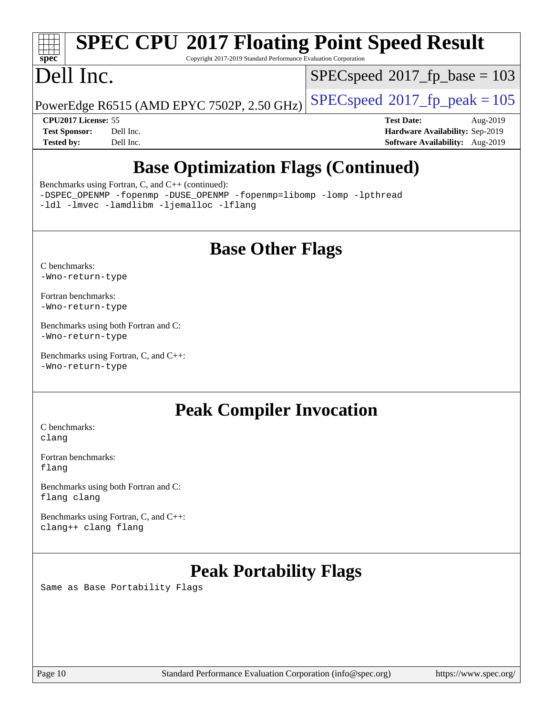# **[SPEC CPU](http://www.spec.org/auto/cpu2017/Docs/result-fields.html#SPECCPU2017FloatingPointSpeedResult)[2017 Floating Point Speed Result](http://www.spec.org/auto/cpu2017/Docs/result-fields.html#SPECCPU2017FloatingPointSpeedResult)**

Copyright 2017-2019 Standard Performance Evaluation Corporation

# Dell Inc.

**[spec](http://www.spec.org/)**

[SPECspeed](http://www.spec.org/auto/cpu2017/Docs/result-fields.html#SPECspeed2017fpbase)<sup>®</sup>2017 fp base = 103

PowerEdge R6515 (AMD EPYC 7502P, 2.50 GHz)  $\left|$  [SPECspeed](http://www.spec.org/auto/cpu2017/Docs/result-fields.html#SPECspeed2017fppeak)®[2017\\_fp\\_peak = 1](http://www.spec.org/auto/cpu2017/Docs/result-fields.html#SPECspeed2017fppeak)05

**[CPU2017 License:](http://www.spec.org/auto/cpu2017/Docs/result-fields.html#CPU2017License)** 55 **[Test Date:](http://www.spec.org/auto/cpu2017/Docs/result-fields.html#TestDate)** Aug-2019 **[Test Sponsor:](http://www.spec.org/auto/cpu2017/Docs/result-fields.html#TestSponsor)** Dell Inc. **[Hardware Availability:](http://www.spec.org/auto/cpu2017/Docs/result-fields.html#HardwareAvailability)** Sep-2019 **[Tested by:](http://www.spec.org/auto/cpu2017/Docs/result-fields.html#Testedby)** Dell Inc. **[Software Availability:](http://www.spec.org/auto/cpu2017/Docs/result-fields.html#SoftwareAvailability)** Aug-2019

### **[Base Optimization Flags \(Continued\)](http://www.spec.org/auto/cpu2017/Docs/result-fields.html#BaseOptimizationFlags)**

[Benchmarks using Fortran, C, and C++](http://www.spec.org/auto/cpu2017/Docs/result-fields.html#BenchmarksusingFortranCandCXX) (continued):

[-DSPEC\\_OPENMP](http://www.spec.org/cpu2017/results/res2019q3/cpu2017-20190831-17282.flags.html#suite_CC_CXX_FCbase_DSPEC_OPENMP) [-fopenmp](http://www.spec.org/cpu2017/results/res2019q3/cpu2017-20190831-17282.flags.html#user_CC_CXX_FCbase_aocc-fopenmp) [-DUSE\\_OPENMP](http://www.spec.org/cpu2017/results/res2019q3/cpu2017-20190831-17282.flags.html#user_CC_CXX_FCbase_F-DUSE_OPENMP) [-fopenmp=libomp](http://www.spec.org/cpu2017/results/res2019q3/cpu2017-20190831-17282.flags.html#user_CC_CXX_FCbase_aocc-fopenmp_3eb6ab80166bcc84161ff8c20c8d5bc344f88119f45620444596454f7d72e99b7a0ceefc2d1b4d190bd07306bbfdfc20f11f5a2dc69c9b03c72239f8406741c3) [-lomp](http://www.spec.org/cpu2017/results/res2019q3/cpu2017-20190831-17282.flags.html#user_CC_CXX_FCbase_F-lomp) [-lpthread](http://www.spec.org/cpu2017/results/res2019q3/cpu2017-20190831-17282.flags.html#user_CC_CXX_FCbase_F-lpthread) [-ldl](http://www.spec.org/cpu2017/results/res2019q3/cpu2017-20190831-17282.flags.html#user_CC_CXX_FCbase_F-ldl) [-lmvec](http://www.spec.org/cpu2017/results/res2019q3/cpu2017-20190831-17282.flags.html#user_CC_CXX_FCbase_F-lmvec) [-lamdlibm](http://www.spec.org/cpu2017/results/res2019q3/cpu2017-20190831-17282.flags.html#user_CC_CXX_FCbase_F-lamdlibm) [-ljemalloc](http://www.spec.org/cpu2017/results/res2019q3/cpu2017-20190831-17282.flags.html#user_CC_CXX_FCbase_jemalloc-lib) [-lflang](http://www.spec.org/cpu2017/results/res2019q3/cpu2017-20190831-17282.flags.html#user_CC_CXX_FCbase_F-lflang)

### **[Base Other Flags](http://www.spec.org/auto/cpu2017/Docs/result-fields.html#BaseOtherFlags)**

[C benchmarks](http://www.spec.org/auto/cpu2017/Docs/result-fields.html#Cbenchmarks): [-Wno-return-type](http://www.spec.org/cpu2017/results/res2019q3/cpu2017-20190831-17282.flags.html#user_CCbase_F-Waocc-no-return-type)

[Fortran benchmarks](http://www.spec.org/auto/cpu2017/Docs/result-fields.html#Fortranbenchmarks): [-Wno-return-type](http://www.spec.org/cpu2017/results/res2019q3/cpu2017-20190831-17282.flags.html#user_FCbase_F-Waocc-no-return-type)

[Benchmarks using both Fortran and C](http://www.spec.org/auto/cpu2017/Docs/result-fields.html#BenchmarksusingbothFortranandC): [-Wno-return-type](http://www.spec.org/cpu2017/results/res2019q3/cpu2017-20190831-17282.flags.html#user_CC_FCbase_F-Waocc-no-return-type)

[Benchmarks using Fortran, C, and C++:](http://www.spec.org/auto/cpu2017/Docs/result-fields.html#BenchmarksusingFortranCandCXX) [-Wno-return-type](http://www.spec.org/cpu2017/results/res2019q3/cpu2017-20190831-17282.flags.html#user_CC_CXX_FCbase_F-Waocc-no-return-type)

### **[Peak Compiler Invocation](http://www.spec.org/auto/cpu2017/Docs/result-fields.html#PeakCompilerInvocation)**

[C benchmarks](http://www.spec.org/auto/cpu2017/Docs/result-fields.html#Cbenchmarks): [clang](http://www.spec.org/cpu2017/results/res2019q3/cpu2017-20190831-17282.flags.html#user_CCpeak_clang-c)

[Fortran benchmarks](http://www.spec.org/auto/cpu2017/Docs/result-fields.html#Fortranbenchmarks): [flang](http://www.spec.org/cpu2017/results/res2019q3/cpu2017-20190831-17282.flags.html#user_FCpeak_flang)

[Benchmarks using both Fortran and C](http://www.spec.org/auto/cpu2017/Docs/result-fields.html#BenchmarksusingbothFortranandC): [flang](http://www.spec.org/cpu2017/results/res2019q3/cpu2017-20190831-17282.flags.html#user_CC_FCpeak_flang) [clang](http://www.spec.org/cpu2017/results/res2019q3/cpu2017-20190831-17282.flags.html#user_CC_FCpeak_clang-c)

[Benchmarks using Fortran, C, and C++:](http://www.spec.org/auto/cpu2017/Docs/result-fields.html#BenchmarksusingFortranCandCXX) [clang++](http://www.spec.org/cpu2017/results/res2019q3/cpu2017-20190831-17282.flags.html#user_CC_CXX_FCpeak_clang-cpp) [clang](http://www.spec.org/cpu2017/results/res2019q3/cpu2017-20190831-17282.flags.html#user_CC_CXX_FCpeak_clang-c) [flang](http://www.spec.org/cpu2017/results/res2019q3/cpu2017-20190831-17282.flags.html#user_CC_CXX_FCpeak_flang)

### **[Peak Portability Flags](http://www.spec.org/auto/cpu2017/Docs/result-fields.html#PeakPortabilityFlags)**

Same as Base Portability Flags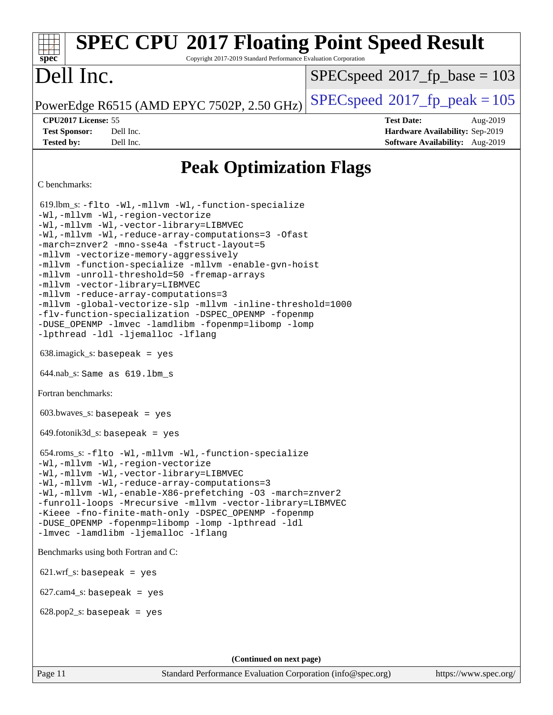### **[spec](http://www.spec.org/) [SPEC CPU](http://www.spec.org/auto/cpu2017/Docs/result-fields.html#SPECCPU2017FloatingPointSpeedResult)[2017 Floating Point Speed Result](http://www.spec.org/auto/cpu2017/Docs/result-fields.html#SPECCPU2017FloatingPointSpeedResult)** Copyright 2017-2019 Standard Performance Evaluation Corporation Dell Inc. PowerEdge R6515 (AMD EPYC 7502P, 2.50 GHz)  $\left|$  [SPECspeed](http://www.spec.org/auto/cpu2017/Docs/result-fields.html#SPECspeed2017fppeak)<sup>®</sup>[2017\\_fp\\_peak = 1](http://www.spec.org/auto/cpu2017/Docs/result-fields.html#SPECspeed2017fppeak)05 [SPECspeed](http://www.spec.org/auto/cpu2017/Docs/result-fields.html#SPECspeed2017fpbase)<sup>®</sup>2017 fp base = 103 **[CPU2017 License:](http://www.spec.org/auto/cpu2017/Docs/result-fields.html#CPU2017License)** 55 **[Test Date:](http://www.spec.org/auto/cpu2017/Docs/result-fields.html#TestDate)** Aug-2019 **[Test Sponsor:](http://www.spec.org/auto/cpu2017/Docs/result-fields.html#TestSponsor)** Dell Inc. **[Hardware Availability:](http://www.spec.org/auto/cpu2017/Docs/result-fields.html#HardwareAvailability)** Sep-2019 **[Tested by:](http://www.spec.org/auto/cpu2017/Docs/result-fields.html#Testedby)** Dell Inc. **[Software Availability:](http://www.spec.org/auto/cpu2017/Docs/result-fields.html#SoftwareAvailability)** Aug-2019 **[Peak Optimization Flags](http://www.spec.org/auto/cpu2017/Docs/result-fields.html#PeakOptimizationFlags)** [C benchmarks](http://www.spec.org/auto/cpu2017/Docs/result-fields.html#Cbenchmarks): 619.lbm\_s: [-flto](http://www.spec.org/cpu2017/results/res2019q3/cpu2017-20190831-17282.flags.html#user_peakCOPTIMIZELDFLAGS619_lbm_s_aocc-flto) [-Wl,-mllvm -Wl,-function-specialize](http://www.spec.org/cpu2017/results/res2019q3/cpu2017-20190831-17282.flags.html#user_peakLDFLAGS619_lbm_s_F-function-specialize_7e7e661e57922243ee67c9a1251cb8910e607325179a0ce7f2884e09a6f5d4a5ef0ae4f37e8a2a11c95fc48e931f06dc2b6016f14b511fcb441e048bef1b065a) [-Wl,-mllvm -Wl,-region-vectorize](http://www.spec.org/cpu2017/results/res2019q3/cpu2017-20190831-17282.flags.html#user_peakLDFLAGS619_lbm_s_F-region-vectorize_fb6c6b5aa293c88efc6c7c2b52b20755e943585b1fe8658c35afef78727fff56e1a56891413c30e36b8e2a6f9a71126986319243e80eb6110b78b288f533c52b) [-Wl,-mllvm -Wl,-vector-library=LIBMVEC](http://www.spec.org/cpu2017/results/res2019q3/cpu2017-20190831-17282.flags.html#user_peakLDFLAGS619_lbm_s_F-use-vector-library_0a14b27fae317f283640384a31f7bfcc2bd4c1d0b5cfc618a3a430800c9b20217b00f61303eff223a3251b4f06ffbc9739dc5296db9d1fbb9ad24a3939d86d66) [-Wl,-mllvm -Wl,-reduce-array-computations=3](http://www.spec.org/cpu2017/results/res2019q3/cpu2017-20190831-17282.flags.html#user_peakLDFLAGS619_lbm_s_F-reduce-array-computations_b882aefe7a5dda4e33149f6299762b9a720dace3e498e13756f4c04e5a19edf5315c1f3993de2e61ec41e8c206231f84e05da7040e1bb5d69ba27d10a12507e4) [-Ofast](http://www.spec.org/cpu2017/results/res2019q3/cpu2017-20190831-17282.flags.html#user_peakCOPTIMIZE619_lbm_s_aocc-Ofast) [-march=znver2](http://www.spec.org/cpu2017/results/res2019q3/cpu2017-20190831-17282.flags.html#user_peakCOPTIMIZE619_lbm_s_aocc-march_3e2e19cff2eeef60c5d90b059483627c9ea47eca6d66670dbd53f9185f6439e27eb5e104cf773e9e8ab18c8842ce63e461a3e948d0214bd567ef3ade411bf467) [-mno-sse4a](http://www.spec.org/cpu2017/results/res2019q3/cpu2017-20190831-17282.flags.html#user_peakCOPTIMIZE619_lbm_s_F-mno-sse4a) [-fstruct-layout=5](http://www.spec.org/cpu2017/results/res2019q3/cpu2017-20190831-17282.flags.html#user_peakCOPTIMIZE619_lbm_s_F-struct-layout_0de9d3561e9f54a54e0843cce081bd13a08ab3e9a82696f3346606c2e11360c37113781019b02fa128d9f650e68f1ffd209bab5c3a026c1ad23e4e7f60646b23) [-mllvm -vectorize-memory-aggressively](http://www.spec.org/cpu2017/results/res2019q3/cpu2017-20190831-17282.flags.html#user_peakCOPTIMIZE619_lbm_s_F-vectorize-memory-aggressively_24b72a4417f50ade9e698c5b3bed87ab456cc6fc8ec6439480cb84f36ad6a3975af6e87206dea402e3871a1464ff3d60bc798e0250f330177ba629a260df1857) [-mllvm -function-specialize](http://www.spec.org/cpu2017/results/res2019q3/cpu2017-20190831-17282.flags.html#user_peakCOPTIMIZE619_lbm_s_F-function-specialize_233b3bdba86027f1b094368157e481c5bc59f40286dc25bfadc1858dcd5745c24fd30d5f188710db7fea399bcc9f44a80b3ce3aacc70a8870250c3ae5e1f35b8) [-mllvm -enable-gvn-hoist](http://www.spec.org/cpu2017/results/res2019q3/cpu2017-20190831-17282.flags.html#user_peakCOPTIMIZE619_lbm_s_F-enable-gvn-hoist_e5856354646dd6ca1333a0ad99b817e4cf8932b91b82809fd8fd47ceff7b22a89eba5c98fd3e3fa5200368fd772cec3dd56abc3c8f7b655a71b9f9848dddedd5) [-mllvm -unroll-threshold=50](http://www.spec.org/cpu2017/results/res2019q3/cpu2017-20190831-17282.flags.html#user_peakCOPTIMIZE619_lbm_s_F-unroll-threshold_458874500b2c105d6d5cb4d7a611c40e2b16e9e3d26b355fea72d644c3673b4de4b3932662f0ed3dbec75c491a13da2d2ca81180bd779dc531083ef1e1e549dc) [-fremap-arrays](http://www.spec.org/cpu2017/results/res2019q3/cpu2017-20190831-17282.flags.html#user_peakCOPTIMIZE619_lbm_s_F-fremap-arrays) [-mllvm -vector-library=LIBMVEC](http://www.spec.org/cpu2017/results/res2019q3/cpu2017-20190831-17282.flags.html#user_peakCOPTIMIZE619_lbm_s_F-use-vector-library_e584e20b4f7ec96aa109254b65d8e01d864f3d68580371b9d93ed7c338191d4cfce20c3c864632264effc6bbe4c7c38153d02096a342ee92501c4a53204a7871) [-mllvm -reduce-array-computations=3](http://www.spec.org/cpu2017/results/res2019q3/cpu2017-20190831-17282.flags.html#user_peakCOPTIMIZE619_lbm_s_F-reduce-array-computations_aceadb8604558b566e0e3a0d7a3c1533923dd1fa0889614e16288028922629a28d5695c24d3b3be4306b1e311c54317dfffe3a2e57fbcaabc737a1798de39145) [-mllvm -global-vectorize-slp](http://www.spec.org/cpu2017/results/res2019q3/cpu2017-20190831-17282.flags.html#user_peakCOPTIMIZE619_lbm_s_F-global-vectorize-slp_a3935e8627af4ced727033b1ffd4db27f4d541a363d28d82bf4c2925fb3a0fd4115d6e42d13a2829f9e024d6608eb67a85cb49770f2da5c5ac8dbc737afad603) [-mllvm -inline-threshold=1000](http://www.spec.org/cpu2017/results/res2019q3/cpu2017-20190831-17282.flags.html#user_peakCOPTIMIZE619_lbm_s_dragonegg-llvm-inline-threshold_b7832241b0a6397e4ecdbaf0eb7defdc10f885c2a282fa3240fdc99844d543fda39cf8a4a9dccf68cf19b5438ac3b455264f478df15da0f4988afa40d8243bab) [-flv-function-specialization](http://www.spec.org/cpu2017/results/res2019q3/cpu2017-20190831-17282.flags.html#user_peakCOPTIMIZE619_lbm_s_F-flv-function-specialization) [-DSPEC\\_OPENMP](http://www.spec.org/cpu2017/results/res2019q3/cpu2017-20190831-17282.flags.html#suite_peakEXTRA_OPTIMIZE619_lbm_s_DSPEC_OPENMP) [-fopenmp](http://www.spec.org/cpu2017/results/res2019q3/cpu2017-20190831-17282.flags.html#user_peakEXTRA_OPTIMIZE619_lbm_s_aocc-fopenmp) [-DUSE\\_OPENMP](http://www.spec.org/cpu2017/results/res2019q3/cpu2017-20190831-17282.flags.html#user_peakEXTRA_OPTIMIZE619_lbm_s_F-DUSE_OPENMP) [-lmvec](http://www.spec.org/cpu2017/results/res2019q3/cpu2017-20190831-17282.flags.html#user_peakEXTRA_LIBSMATH_LIBS619_lbm_s_F-lmvec) [-lamdlibm](http://www.spec.org/cpu2017/results/res2019q3/cpu2017-20190831-17282.flags.html#user_peakEXTRA_LIBSMATH_LIBS619_lbm_s_F-lamdlibm) [-fopenmp=libomp](http://www.spec.org/cpu2017/results/res2019q3/cpu2017-20190831-17282.flags.html#user_peakEXTRA_LIBS619_lbm_s_aocc-fopenmp_3eb6ab80166bcc84161ff8c20c8d5bc344f88119f45620444596454f7d72e99b7a0ceefc2d1b4d190bd07306bbfdfc20f11f5a2dc69c9b03c72239f8406741c3) [-lomp](http://www.spec.org/cpu2017/results/res2019q3/cpu2017-20190831-17282.flags.html#user_peakEXTRA_LIBS619_lbm_s_F-lomp) [-lpthread](http://www.spec.org/cpu2017/results/res2019q3/cpu2017-20190831-17282.flags.html#user_peakEXTRA_LIBS619_lbm_s_F-lpthread) [-ldl](http://www.spec.org/cpu2017/results/res2019q3/cpu2017-20190831-17282.flags.html#user_peakEXTRA_LIBS619_lbm_s_F-ldl) [-ljemalloc](http://www.spec.org/cpu2017/results/res2019q3/cpu2017-20190831-17282.flags.html#user_peakEXTRA_LIBS619_lbm_s_jemalloc-lib) [-lflang](http://www.spec.org/cpu2017/results/res2019q3/cpu2017-20190831-17282.flags.html#user_peakEXTRA_LIBS619_lbm_s_F-lflang) 638.imagick\_s: basepeak = yes 644.nab\_s: Same as 619.lbm\_s [Fortran benchmarks:](http://www.spec.org/auto/cpu2017/Docs/result-fields.html#Fortranbenchmarks)  $603.bwaves$  s: basepeak = yes  $649.$ fotonik $3d$ <sub>-</sub>s: basepeak = yes 654.roms\_s: [-flto](http://www.spec.org/cpu2017/results/res2019q3/cpu2017-20190831-17282.flags.html#user_peakFOPTIMIZELDFLAGS654_roms_s_aocc-flto) [-Wl,-mllvm -Wl,-function-specialize](http://www.spec.org/cpu2017/results/res2019q3/cpu2017-20190831-17282.flags.html#user_peakLDFLAGS654_roms_s_F-function-specialize_7e7e661e57922243ee67c9a1251cb8910e607325179a0ce7f2884e09a6f5d4a5ef0ae4f37e8a2a11c95fc48e931f06dc2b6016f14b511fcb441e048bef1b065a) [-Wl,-mllvm -Wl,-region-vectorize](http://www.spec.org/cpu2017/results/res2019q3/cpu2017-20190831-17282.flags.html#user_peakLDFLAGS654_roms_s_F-region-vectorize_fb6c6b5aa293c88efc6c7c2b52b20755e943585b1fe8658c35afef78727fff56e1a56891413c30e36b8e2a6f9a71126986319243e80eb6110b78b288f533c52b) [-Wl,-mllvm -Wl,-vector-library=LIBMVEC](http://www.spec.org/cpu2017/results/res2019q3/cpu2017-20190831-17282.flags.html#user_peakLDFLAGS654_roms_s_F-use-vector-library_0a14b27fae317f283640384a31f7bfcc2bd4c1d0b5cfc618a3a430800c9b20217b00f61303eff223a3251b4f06ffbc9739dc5296db9d1fbb9ad24a3939d86d66) [-Wl,-mllvm -Wl,-reduce-array-computations=3](http://www.spec.org/cpu2017/results/res2019q3/cpu2017-20190831-17282.flags.html#user_peakLDFLAGS654_roms_s_F-reduce-array-computations_b882aefe7a5dda4e33149f6299762b9a720dace3e498e13756f4c04e5a19edf5315c1f3993de2e61ec41e8c206231f84e05da7040e1bb5d69ba27d10a12507e4) [-Wl,-mllvm -Wl,-enable-X86-prefetching](http://www.spec.org/cpu2017/results/res2019q3/cpu2017-20190831-17282.flags.html#user_peakLDFFLAGS654_roms_s_F-enable-X86-prefetching_362de7b2f7f327d498ff3502bcaa6d8937de40fbbc59a600e539433e6b2cb9ea5e30d4a00c3465ce74a160670b5fcaffd57d10fdc90b0d7ee2c6f387a6bf1aee) [-O3](http://www.spec.org/cpu2017/results/res2019q3/cpu2017-20190831-17282.flags.html#user_peakFOPTIMIZE654_roms_s_F-O3) [-march=znver2](http://www.spec.org/cpu2017/results/res2019q3/cpu2017-20190831-17282.flags.html#user_peakFOPTIMIZE654_roms_s_aocc-march_3e2e19cff2eeef60c5d90b059483627c9ea47eca6d66670dbd53f9185f6439e27eb5e104cf773e9e8ab18c8842ce63e461a3e948d0214bd567ef3ade411bf467) [-funroll-loops](http://www.spec.org/cpu2017/results/res2019q3/cpu2017-20190831-17282.flags.html#user_peakFOPTIMIZE654_roms_s_aocc-unroll-loops) [-Mrecursive](http://www.spec.org/cpu2017/results/res2019q3/cpu2017-20190831-17282.flags.html#user_peakFOPTIMIZE654_roms_s_F-mrecursive_20a145d63f12d5750a899e17d4450b5b8b40330a9bb4af13688ca650e6fb30857bbbe44fb35cdbb895df6e5b2769de0a0d7659f51ff17acfbef6febafec4023f) [-mllvm -vector-library=LIBMVEC](http://www.spec.org/cpu2017/results/res2019q3/cpu2017-20190831-17282.flags.html#user_peakFOPTIMIZE654_roms_s_F-use-vector-library_e584e20b4f7ec96aa109254b65d8e01d864f3d68580371b9d93ed7c338191d4cfce20c3c864632264effc6bbe4c7c38153d02096a342ee92501c4a53204a7871) [-Kieee](http://www.spec.org/cpu2017/results/res2019q3/cpu2017-20190831-17282.flags.html#user_peakEXTRA_FFLAGS654_roms_s_F-kieee) [-fno-finite-math-only](http://www.spec.org/cpu2017/results/res2019q3/cpu2017-20190831-17282.flags.html#user_peakEXTRA_FFLAGS654_roms_s_aocc-fno-finite-math-only) [-DSPEC\\_OPENMP](http://www.spec.org/cpu2017/results/res2019q3/cpu2017-20190831-17282.flags.html#suite_peakEXTRA_OPTIMIZE654_roms_s_DSPEC_OPENMP) [-fopenmp](http://www.spec.org/cpu2017/results/res2019q3/cpu2017-20190831-17282.flags.html#user_peakEXTRA_OPTIMIZE654_roms_s_aocc-fopenmp) [-DUSE\\_OPENMP](http://www.spec.org/cpu2017/results/res2019q3/cpu2017-20190831-17282.flags.html#user_peakEXTRA_OPTIMIZE654_roms_s_F-DUSE_OPENMP) [-fopenmp=libomp](http://www.spec.org/cpu2017/results/res2019q3/cpu2017-20190831-17282.flags.html#user_peakEXTRA_LIBS654_roms_s_aocc-fopenmp_3eb6ab80166bcc84161ff8c20c8d5bc344f88119f45620444596454f7d72e99b7a0ceefc2d1b4d190bd07306bbfdfc20f11f5a2dc69c9b03c72239f8406741c3) [-lomp](http://www.spec.org/cpu2017/results/res2019q3/cpu2017-20190831-17282.flags.html#user_peakEXTRA_LIBS654_roms_s_F-lomp) [-lpthread](http://www.spec.org/cpu2017/results/res2019q3/cpu2017-20190831-17282.flags.html#user_peakEXTRA_LIBS654_roms_s_F-lpthread) [-ldl](http://www.spec.org/cpu2017/results/res2019q3/cpu2017-20190831-17282.flags.html#user_peakEXTRA_LIBS654_roms_s_F-ldl) [-lmvec](http://www.spec.org/cpu2017/results/res2019q3/cpu2017-20190831-17282.flags.html#user_peakEXTRA_FLIBSEXTRA_LIBS654_roms_s_F-lmvec) [-lamdlibm](http://www.spec.org/cpu2017/results/res2019q3/cpu2017-20190831-17282.flags.html#user_peakEXTRA_FLIBSEXTRA_LIBS654_roms_s_F-lamdlibm) [-ljemalloc](http://www.spec.org/cpu2017/results/res2019q3/cpu2017-20190831-17282.flags.html#user_peakEXTRA_LIBS654_roms_s_jemalloc-lib) [-lflang](http://www.spec.org/cpu2017/results/res2019q3/cpu2017-20190831-17282.flags.html#user_peakEXTRA_LIBS654_roms_s_F-lflang) [Benchmarks using both Fortran and C](http://www.spec.org/auto/cpu2017/Docs/result-fields.html#BenchmarksusingbothFortranandC):  $621.wrf$  s: basepeak = yes  $627$ .cam $4$ <sub>-</sub>s: basepeak = yes  $628.pop2_s:$  basepeak = yes **(Continued on next page)**